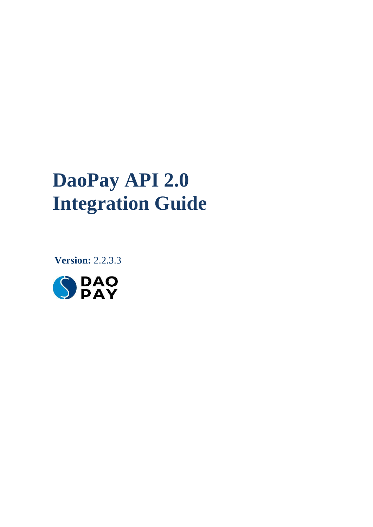# **DaoPay API 2.0 Integration Guide**

 **Version:** 2.2.3.3

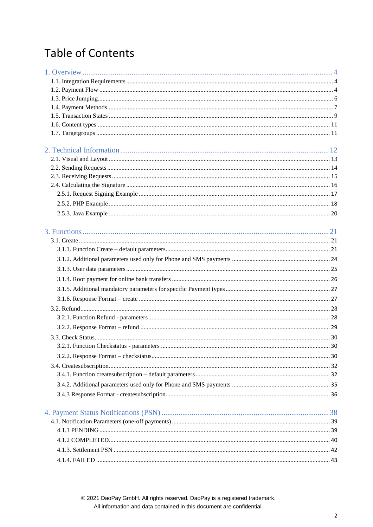## **Table of Contents**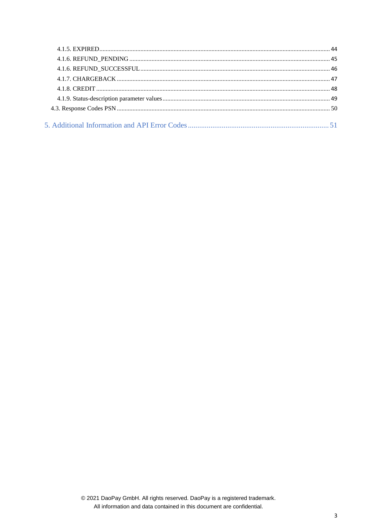<span id="page-2-0"></span>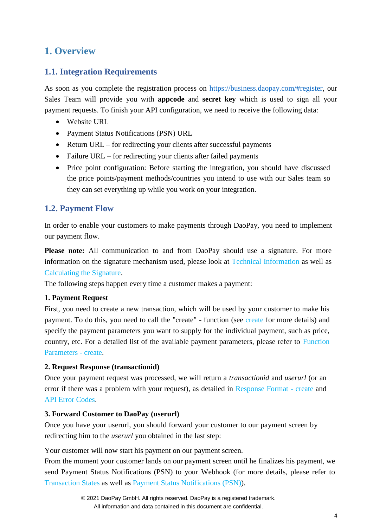## <span id="page-3-0"></span>**1. Overview**

## <span id="page-3-1"></span>**1.1. Integration Requirements**

As soon as you complete the registration process on [https://business.daopay.com/#register,](https://business.daopay.com/#register) our Sales Team will provide you with **appcode** and **secret key** which is used to sign all your payment requests. To finish your API configuration, we need to receive the following data:

- Website URL
- Payment Status Notifications (PSN) URL
- Return URL for redirecting your clients after successful payments
- Failure URL for redirecting your clients after failed payments
- Price point configuration: Before starting the integration, you should have discussed the price points/payment methods/countries you intend to use with our Sales team so they can set everything up while you work on your integration.

## <span id="page-3-2"></span>**1.2. Payment Flow**

In order to enable your customers to make payments through DaoPay, you need to implement our payment flow.

**Please note:** All communication to and from DaoPay should use a signature. For more information on the signature mechanism used, please look at [Technical Information](#page-11-0) as well as [Calculating the Signature.](#page-14-1)

The following steps happen every time a customer makes a payment:

## **1. Payment Request**

First, you need to create a new transaction, which will be used by your customer to make his payment. To do this, you need to call the "create" - function (see [create](#page-20-0) for more details) and specify the payment parameters you want to supply for the individual payment, such as price, country, etc. For a detailed list of the available payment parameters, please refer to [Function](#page-20-0) [Parameters -](#page-20-0) create.

## **2. Request Response (transactionid)**

Once your payment request was processed, we will return a *transactionid* and *userurl* (or an error if there was a problem with your request), as detailed in [Response Format -](#page-26-1) create and API [Error Codes.](#page-50-1)

## **3. Forward Customer to DaoPay (userurl)**

Once you have your userurl, you should forward your customer to our payment screen by redirecting him to the *userurl* you obtained in the last step:

Your customer will now start his payment on our payment screen.

From the moment your customer lands on our payment screen until he finalizes his payment, we send Payment Status Notifications (PSN) to your Webhook (for more details, please refer to [Transaction States a](#page-7-0)s well as [Payment Status Notifications \(PSN\)\)](#page-27-0).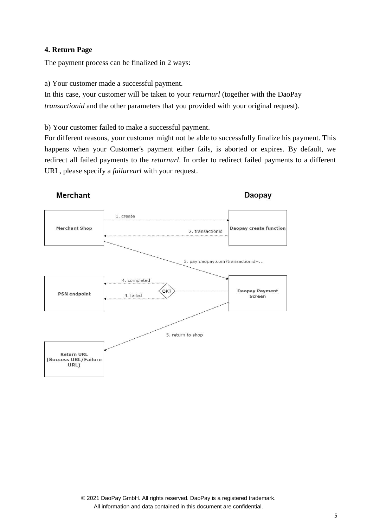## **4. Return Page**

The payment process can be finalized in 2 ways:

a) Your customer made a successful payment.

In this case, your customer will be taken to your *returnurl* (together with the DaoPay *transactionid* and the other parameters that you provided with your original request).

b) Your customer failed to make a successful payment.

For different reasons, your customer might not be able to successfully finalize his payment. This happens when your Customer's payment either fails, is aborted or expires. By default, we redirect all failed payments to the *returnurl*. In order to redirect failed payments to a different URL, please specify a *failureurl* with your request.

## **Merchant**

Daopay

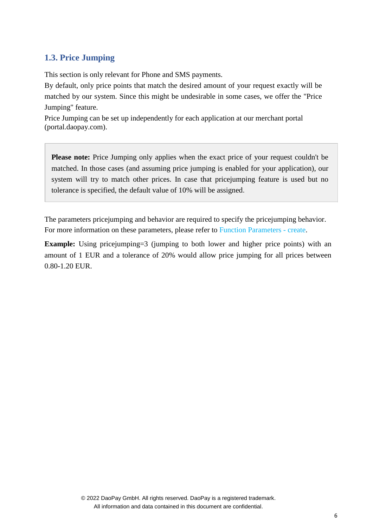## <span id="page-5-0"></span>**1.3. Price Jumping**

This section is only relevant for Phone and SMS payments.

By default, only price points that match the desired amount of your request exactly will be matched by our system. Since this might be undesirable in some cases, we offer the "Price Jumping" feature.

Price Jumping can be set up independently for each application at our merchant portal (portal.daopay.com).

**Please note:** Price Jumping only applies when the exact price of your request couldn't be matched. In those cases (and assuming price jumping is enabled for your application), our system will try to match other prices. In case that pricejumping feature is used but no tolerance is specified, the default value of 10% will be assigned.

The parameters pricejumping and behavior are required to specify the pricejumping behavior. For more information on these parameters, please refer to [Function Parameters -](#page-20-0) create.

**Example:** Using pricejumping=3 (jumping to both lower and higher price points) with an amount of 1 EUR and a tolerance of 20% would allow price jumping for all prices between 0.80-1.20 EUR.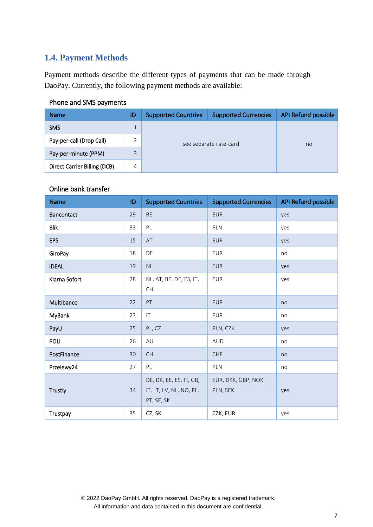## <span id="page-6-0"></span>**1.4. Payment Methods**

Payment methods describe the different types of payments that can be made through DaoPay. Currently, the following payment methods are available:

## Phone and SMS payments

| <b>Name</b>                  | ID | <b>Supported Countries</b> | <b>Supported Currencies</b> | API Refund possible |  |
|------------------------------|----|----------------------------|-----------------------------|---------------------|--|
| <b>SMS</b>                   |    | see separate rate-card     |                             |                     |  |
| Pay-per-call (Drop Call)     |    |                            |                             | no                  |  |
| Pay-per-minute (PPM)         | 3  |                            |                             |                     |  |
| Direct Carrier Billing (DCB) | 4  |                            |                             |                     |  |

## Online bank transfer

| <b>Name</b>   | ID | <b>Supported Countries</b>                                       | <b>Supported Currencies</b>     | API Refund possible |
|---------------|----|------------------------------------------------------------------|---------------------------------|---------------------|
| Bancontact    | 29 | <b>BE</b>                                                        | <b>EUR</b>                      | yes                 |
| <b>Blik</b>   | 33 | PL                                                               | PLN                             | yes                 |
| <b>EPS</b>    | 15 | AT                                                               | <b>EUR</b>                      | yes                 |
| GiroPay       | 18 | DE                                                               | <b>EUR</b>                      | no                  |
| <b>iDEAL</b>  | 19 | $\mathsf{NL}\xspace$                                             | <b>EUR</b>                      | yes                 |
| Klarna Sofort | 28 | NL, AT, BE, DE, ES, IT,<br>CH                                    | <b>EUR</b>                      | yes                 |
| Multibanco    | 22 | PT                                                               | <b>EUR</b>                      | no                  |
| MyBank        | 23 | $\mathsf{I}\mathsf{T}$                                           | <b>EUR</b>                      | no                  |
| PayU          | 25 | PL, CZ                                                           | PLN, CZK                        | yes                 |
| POLI          | 26 | AU                                                               | <b>AUD</b>                      | no                  |
| PostFinance   | 30 | <b>CH</b>                                                        | CHF                             | no                  |
| Przelewy24    | 27 | PL                                                               | PLN                             | no                  |
| Trustly       | 34 | DE, DK, EE, ES, FI, GB,<br>IT, LT, LV, NL, NO, PL,<br>PT, SE, SK | EUR, DKK, GBP, NOK,<br>PLN, SEK | yes                 |
| Trustpay      | 35 | CZ, SK                                                           | CZK, EUR                        | yes                 |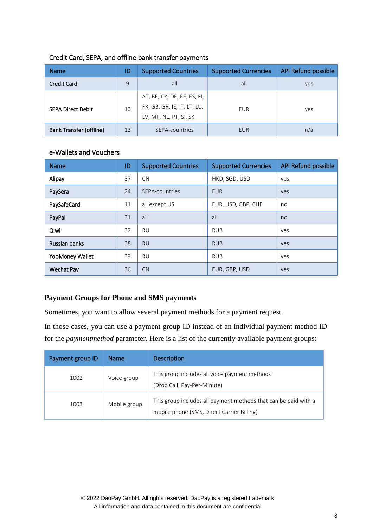| <b>Name</b>                    | ID           | <b>Supported Countries</b>                                                           | <b>Supported Currencies</b> | <b>API Refund possible</b> |
|--------------------------------|--------------|--------------------------------------------------------------------------------------|-----------------------------|----------------------------|
| <b>Credit Card</b>             | $\mathsf{q}$ | all                                                                                  | all                         | yes                        |
| <b>SEPA Direct Debit</b><br>10 |              | AT, BE, CY, DE, EE, ES, FI,<br>FR, GB, GR, IE, IT, LT, LU,<br>LV, MT, NL, PT, SI, SK | EUR                         | yes                        |
| <b>Bank Transfer (offline)</b> | 13           | SEPA-countries                                                                       | <b>EUR</b>                  | n/a                        |

## Credit Card, SEPA, and offline bank transfer payments

## e-Wallets and Vouchers

| <b>Name</b>          | ID | <b>Supported Countries</b> | <b>Supported Currencies</b> | <b>API Refund possible</b> |
|----------------------|----|----------------------------|-----------------------------|----------------------------|
| Alipay               | 37 | <b>CN</b>                  | HKD, SGD, USD               | yes                        |
| PaySera              | 24 | SEPA-countries             | <b>EUR</b>                  | yes                        |
| PaySafeCard          | 11 | all except US              | EUR, USD, GBP, CHF          | no                         |
| PayPal               | 31 | all                        | all                         | no                         |
| Qiwi                 | 32 | <b>RU</b>                  | <b>RUB</b>                  | yes                        |
| <b>Russian banks</b> | 38 | <b>RU</b>                  | <b>RUB</b>                  | yes                        |
| YooMoney Wallet      | 39 | <b>RU</b>                  | <b>RUB</b>                  | yes                        |
| <b>Wechat Pay</b>    | 36 | CN                         | EUR, GBP, USD               | yes                        |

## **Payment Groups for Phone and SMS payments**

Sometimes, you want to allow several payment methods for a payment request.

In those cases, you can use a payment group ID instead of an individual payment method ID for the *paymentmethod* parameter. Here is a list of the currently available payment groups:

<span id="page-7-0"></span>

| Payment group ID | <b>Name</b>  | <b>Description</b>                                                                                            |
|------------------|--------------|---------------------------------------------------------------------------------------------------------------|
| 1002             | Voice group  | This group includes all voice payment methods<br>(Drop Call, Pay-Per-Minute)                                  |
| 1003             | Mobile group | This group includes all payment methods that can be paid with a<br>mobile phone (SMS, Direct Carrier Billing) |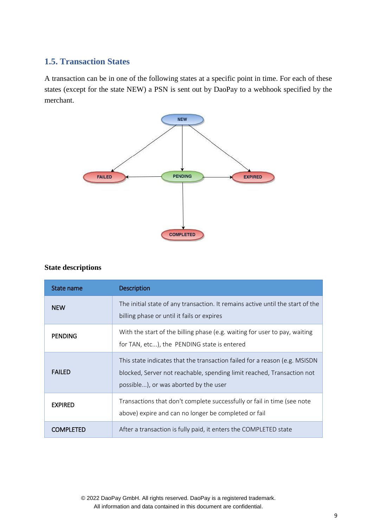## <span id="page-8-0"></span>**1.5. Transaction States**

A transaction can be in one of the following states at a specific point in time. For each of these states (except for the state NEW) a PSN is sent out by DaoPay to a webhook specified by the merchant.



#### **State descriptions**

| State name       | <b>Description</b>                                                                                                                                                                            |
|------------------|-----------------------------------------------------------------------------------------------------------------------------------------------------------------------------------------------|
| <b>NEW</b>       | The initial state of any transaction. It remains active until the start of the<br>billing phase or until it fails or expires                                                                  |
| <b>PENDING</b>   | With the start of the billing phase (e.g. waiting for user to pay, waiting<br>for TAN, etc), the PENDING state is entered                                                                     |
| <b>FAILED</b>    | This state indicates that the transaction failed for a reason (e.g. MSISDN<br>blocked, Server not reachable, spending limit reached, Transaction not<br>possible), or was aborted by the user |
| <b>EXPIRED</b>   | Transactions that don't complete successfully or fail in time (see note<br>above) expire and can no longer be completed or fail                                                               |
| <b>COMPLETED</b> | After a transaction is fully paid, it enters the COMPLETED state                                                                                                                              |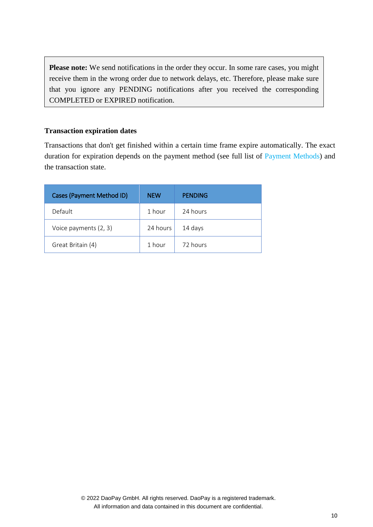Please note: We send notifications in the order they occur. In some rare cases, you might receive them in the wrong order due to network delays, etc. Therefore, please make sure that you ignore any PENDING notifications after you received the corresponding COMPLETED or EXPIRED notification.

## **Transaction expiration dates**

Transactions that don't get finished within a certain time frame expire automatically. The exact duration for expiration depends on the payment method (see full list of [Payment Methods\)](#page-6-0) and the transaction state.

| Cases (Payment Method ID) | <b>NEW</b> | <b>PENDING</b> |
|---------------------------|------------|----------------|
| Default                   | 1 hour     | 24 hours       |
| Voice payments (2, 3)     | 24 hours   | 14 days        |
| Great Britain (4)         | 1 hour     | 72 hours       |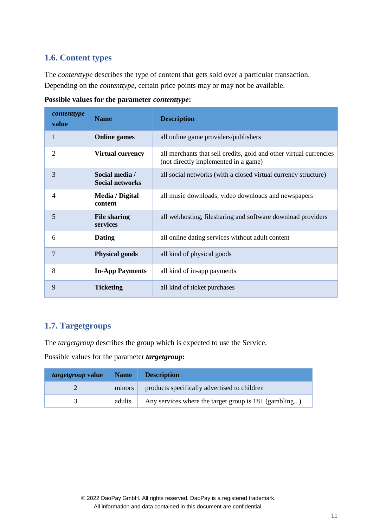## <span id="page-10-0"></span>**1.6. Content types**

The *contenttype* describes the type of content that gets sold over a particular transaction. Depending on the *contenttype*, certain price points may or may not be available.

| contenttype<br>value | <b>Name</b>                              | <b>Description</b>                                                                                         |
|----------------------|------------------------------------------|------------------------------------------------------------------------------------------------------------|
| $\mathbf{1}$         | <b>Online games</b>                      | all online game providers/publishers                                                                       |
| 2                    | <b>Virtual currency</b>                  | all merchants that sell credits, gold and other virtual currencies<br>(not directly implemented in a game) |
| 3                    | Social media /<br><b>Social networks</b> | all social networks (with a closed virtual currency structure)                                             |
| $\overline{4}$       | Media / Digital<br>content               | all music downloads, video downloads and newspapers                                                        |
| 5                    | <b>File sharing</b><br>services          | all webhosting, filesharing and software download providers                                                |
| 6                    | <b>Dating</b>                            | all online dating services without adult content                                                           |
| $\overline{7}$       | <b>Physical goods</b>                    | all kind of physical goods                                                                                 |
| 8                    | <b>In-App Payments</b>                   | all kind of in-app payments                                                                                |
| 9                    | <b>Ticketing</b>                         | all kind of ticket purchases                                                                               |

**Possible values for the parameter** *contenttype***:**

## <span id="page-10-1"></span>**1.7. Targetgroups**

The *targetgroup* describes the group which is expected to use the Service.

Possible values for the parameter *targetgroup***:**

| <i>targetgroup</i> value | <b>Name</b> | <b>Description</b>                                       |
|--------------------------|-------------|----------------------------------------------------------|
|                          | minors      | products specifically advertised to children             |
|                          | adults      | Any services where the target group is $18 + (gambling)$ |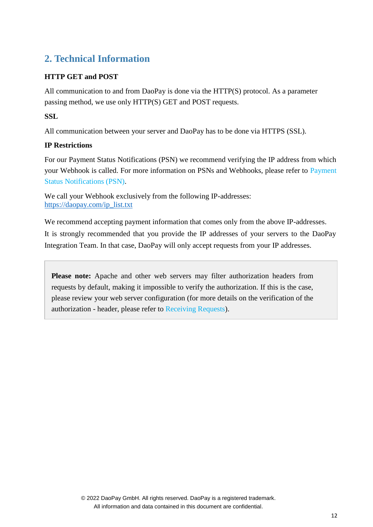## <span id="page-11-0"></span>**2. Technical Information**

## **HTTP GET and POST**

All communication to and from DaoPay is done via the HTTP(S) protocol. As a parameter passing method, we use only HTTP(S) GET and POST requests.

## **SSL**

All communication between your server and DaoPay has to be done via HTTPS (SSL).

## **IP Restrictions**

For our Payment Status Notifications (PSN) we recommend verifying the IP address from which your Webhook is called. For more information on PSNs and Webhooks, please refer to [Payment](#page-27-0)  [Status Notifications \(PSN\).](#page-27-0)

We call your Webhook exclusively from the following IP-addresses: [https://daopay.com/ip\\_list.txt](https://daopay.com/ip_list.txt)

We recommend accepting payment information that comes only from the above IP-addresses. It is strongly recommended that you provide the IP addresses of your servers to the DaoPay Integration Team. In that case, DaoPay will only accept requests from your IP addresses.

Please note: Apache and other web servers may filter authorization headers from requests by default, making it impossible to verify the authorization. If this is the case, please review your web server configuration (for more details on the verification of the authorization - header, please refer to [Receiving Requests\)](#page-14-2).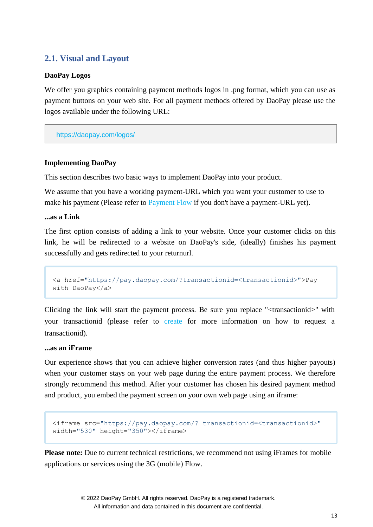## <span id="page-12-0"></span>**2.1. Visual and Layout**

#### **DaoPay Logos**

We offer you graphics containing payment methods logos in .png format, which you can use as payment buttons on your web site. For all payment methods offered by DaoPay please use the logos available under the following URL:

<https://daopay.com/logos/>

## **Implementing DaoPay**

This section describes two basic ways to implement DaoPay into your product.

We assume that you have a working payment-URL which you want your customer to use to make his payment (Please refer to [Payment Flow](#page-2-0) if you don't have a payment-URL yet).

#### **...as a Link**

The first option consists of adding a link to your website. Once your customer clicks on this link, he will be redirected to a website on DaoPay's side, (ideally) finishes his payment successfully and gets redirected to your returnurl.

```
<a href="https://pay.daopay.com/?transactionid=<transactionid>">Pay 
with DaoPay</a>
```
Clicking the link will start the payment process. Be sure you replace "<transactionid>" with your transactionid (please refer to [create](#page-20-0) for more information on how to request a transactionid).

#### **...as an iFrame**

Our experience shows that you can achieve higher conversion rates (and thus higher payouts) when your customer stays on your web page during the entire payment process. We therefore strongly recommend this method. After your customer has chosen his desired payment method and product, you embed the payment screen on your own web page using an iframe:

```
<iframe src="https://pay.daopay.com/? transactionid=<transactionid>" 
width="530" height="350"></iframe>
```
Please note: Due to current technical restrictions, we recommend not using iFrames for mobile applications or services using the 3G (mobile) Flow.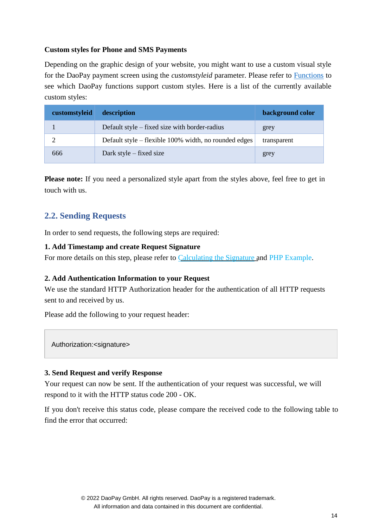## **Custom styles for Phone and SMS Payments**

Depending on the graphic design of your website, you might want to use a custom visual style for the DaoPay payment screen using the *customstyleid* parameter. Please refer to [Functions](#page-20-0) to see which DaoPay functions support custom styles. Here is a list of the currently available custom styles:

| customstyleid | description                                           | background color |
|---------------|-------------------------------------------------------|------------------|
|               | Default style $-$ fixed size with border-radius       | grey             |
|               | Default style – flexible 100% width, no rounded edges | transparent      |
| 666           | Dark style $-$ fixed size                             | grey             |

**Please note:** If you need a personalized style apart from the styles above, feel free to get in touch with us.

## <span id="page-13-0"></span>**2.2. Sending Requests**

In order to send requests, the following steps are required:

## **1. Add Timestamp and create Request Signature**

For more details on this step, please refer to [Calculating the Signature](#page-14-1) and [PHP Example.](#page-17-0)

## **2. Add Authentication Information to your Request**

We use the standard HTTP Authorization header for the authentication of all HTTP requests sent to and received by us.

Please add the following to your request header:

Authorization:<signature>

#### **3. Send Request and verify Response**

Your request can now be sent. If the authentication of your request was successful, we will respond to it with the HTTP status code 200 - OK.

If you don't receive this status code, please compare the received code to the following table to find the error that occurred: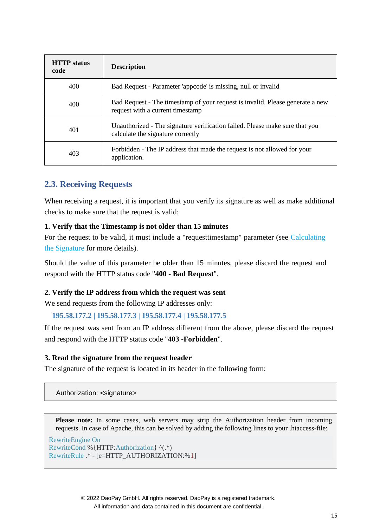<span id="page-14-1"></span>

| <b>HTTP</b> status<br>code | <b>Description</b>                                                                                                |
|----------------------------|-------------------------------------------------------------------------------------------------------------------|
| 400                        | Bad Request - Parameter 'appcode' is missing, null or invalid                                                     |
| 400                        | Bad Request - The timestamp of your request is invalid. Please generate a new<br>request with a current timestamp |
| 401                        | Unauthorized - The signature verification failed. Please make sure that you<br>calculate the signature correctly  |
| 403                        | Forbidden - The IP address that made the request is not allowed for your<br>application.                          |

## <span id="page-14-2"></span><span id="page-14-0"></span>**2.3. Receiving Requests**

When receiving a request, it is important that you verify its signature as well as make additional checks to make sure that the request is valid:

## **1. Verify that the Timestamp is not older than 15 minutes**

For the request to be valid, it must include a "request timestamp" parameter (see [Calculating](#page-14-1) [the Signature f](#page-14-1)or more details).

Should the value of this parameter be older than 15 minutes, please discard the request and respond with the HTTP status code "**400 - Bad Request**".

#### **2. Verify the IP address from which the request was sent**

We send requests from the following IP addresses only:

#### **195.58.177.2 | 195.58.177.3 | 195.58.177.4 | 195.58.177.5**

If the request was sent from an IP address different from the above, please discard the request and respond with the HTTP status code "**403 -Forbidden**".

#### **3. Read the signature from the request header**

The signature of the request is located in its header in the following form:

Authorization: <signature>

**Please note:** In some cases, web servers may strip the Authorization header from incoming requests. In case of Apache, this can be solved by adding the following lines to your .htaccess-file:

```
RewriteEngine On
RewriteCond %{HTTP:Authorization} ^(.*)
RewriteRule .* - [e=HTTP_AUTHORIZATION:%1]
```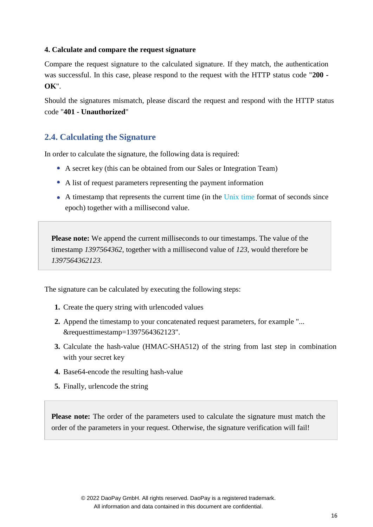#### **4. Calculate and compare the request signature**

Compare the request signature to the calculated signature. If they match, the authentication was successful. In this case, please respond to the request with the HTTP status code "**200 - OK**".

Should the signatures mismatch, please discard the request and respond with the HTTP status code "**401 - Unauthorized**"

## <span id="page-15-0"></span>**2.4. Calculating the Signature**

In order to calculate the signature, the following data is required:

- A secret key (this can be obtained from our Sales or Integration Team)
- A list of request parameters representing the payment information
- A timestamp that represents the current time (in the [Unix time](http://en.wikipedia.org/wiki/Unix_time) format of seconds since epoch) together with a millisecond value.

**Please note:** We append the current milliseconds to our timestamps. The value of the timestamp *1397564362*, together with a millisecond value of *123*, would therefore be *1397564362123*.

The signature can be calculated by executing the following steps:

- **1.** Create the query string with urlencoded values
- **2.** Append the timestamp to your concatenated request parameters, for example "... &requesttimestamp=1397564362123".
- **3.** Calculate the hash-value (HMAC-SHA512) of the string from last step in combination with your secret key
- **4.** Base64-encode the resulting hash-value
- **5.** Finally, urlencode the string

**Please note:** The order of the parameters used to calculate the signature must match the order of the parameters in your request. Otherwise, the signature verification will fail!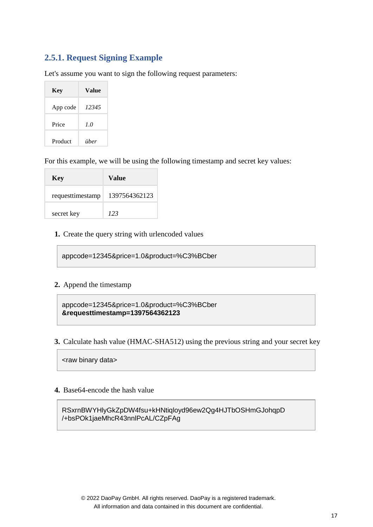## <span id="page-16-0"></span>**2.5.1. Request Signing Example**

Let's assume you want to sign the following request parameters:

| <b>Key</b> | Value |
|------------|-------|
| App code   | 12345 |
| Price      | 1.0   |
| Product    | über  |

For this example, we will be using the following timestamp and secret key values:

| <b>Key</b>       | Value         |
|------------------|---------------|
| requesttimestamp | 1397564362123 |
| secret key       | 123           |

**1.** Create the query string with urlencoded values

appcode=12345&price=1.0&product=%C3%BCber

#### **2.** Append the timestamp

appcode=12345&price=1.0&product=%C3%BCber **&requesttimestamp=1397564362123**

**3.** Calculate hash value (HMAC-SHA512) using the previous string and your secret key

<raw binary data>

#### **4.** Base64-encode the hash value

RSxrnBWYHlyGkZpDW4fsu+kHNtiqloyd96ew2Qg4HJTbOSHmGJohqpD /+bsPOk1jaeMhcR43nnlPcAL/CZpFAg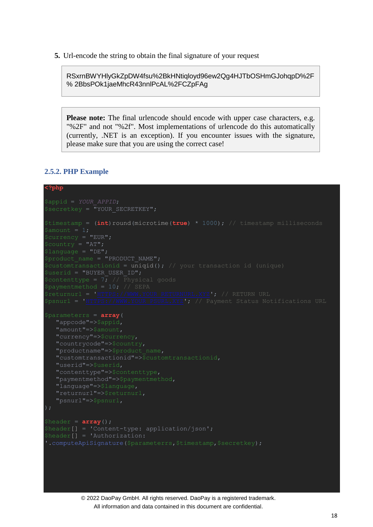**5.** Url-encode the string to obtain the final signature of your request

RSxrnBWYHlyGkZpDW4fsu%2BkHNtiqloyd96ew2Qg4HJTbOSHmGJohqpD%2F % 2BbsPOk1jaeMhcR43nnlPcAL%2FCZpFAg

**Please note:** The final urlencode should encode with upper case characters, e.g. "%2F" and not "%2f". Most implementations of urlencode do this automatically (currently, .NET is an exception). If you encounter issues with the signature, please make sure that you are using the correct case!

#### <span id="page-17-0"></span>**2.5.2. PHP Example**

#### **<?php**

```
$secretkey = "YOUR SECRETKEY";$timestamp = (int)round(microtime(true) * 1000); // timestamp milliseconds
$currency = "EUR";
S_{\text{Country}} = "AT";$language = "DE";
$product_name = "PRODUCT_NAME";
$customtransactionid = uniqid(); // your transaction id (unique)
$userid = "BUYER_USER_ID";
$contenttype = 7; // Physical goods
$psnurl = 'HTTPS://WWW.YOUR_PSURL.XYZ'; // Payment Status Notifications URL
$parameterrs = array(
    "appcode"=>$appid,
   "amount"=>$amount,
   "countrycode"=>$country,
   "productname"=>$product_name,
   "contenttype"=>$contenttype,
   "paymentmethod"=>$paymentmethod,
   "language"=>$language,
$header = array();
$header[] = 'Content-type: application/json';
$header[] = 'Authorization:
```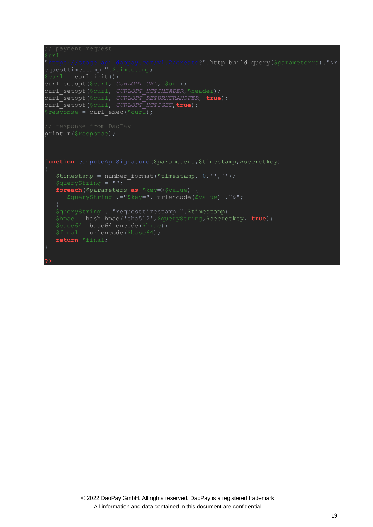```
"https://stage.api.daopay.com/v1.2/create?".http_build_query($parameterrs)."&r
equesttimestamp=".$timestamp;
 \betacurl = curl_init();
curl setopt($curl, CURLOPT URL, $url);
curl setopt($curl, CURLOPT HTTPHEADER, $header);
curl_setopt($curl, CURLOPT_RETURNTRANSFER, true);
curl_setopt($curl, CURLOPT_HTTPGET,true);
 \frac{1}{2} \frac{1}{2} \frac{1}{2} \frac{1}{2} \frac{1}{2} \frac{1}{2} \frac{1}{2} \frac{1}{2} \frac{1}{2} \frac{1}{2} \frac{1}{2} \frac{1}{2} \frac{1}{2} \frac{1}{2} \frac{1}{2} \frac{1}{2} \frac{1}{2} \frac{1}{2} \frac{1}{2} \frac{1}{2} \frac{1}{2} \frac{1}{2} print_r($response);
function computeApiSignature($parameters,$timestamp,$secretkey)
    $timestamp = number format($timestamp, 0, '','');
     foreach($parameters as $key=>$value) {
         $queryString .="$key=". urlencode($value) ."&";
     $queryString .="requesttimestamp=".$timestamp;
     $hmac = hash_hmac('sha512',$queryString,$secretkey, true);
    $base64 = base64 encode($hmac);
     $final = urlencode($base64);
     return $final;
```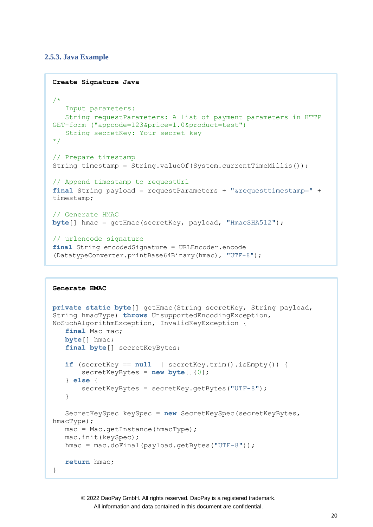#### <span id="page-19-0"></span>**2.5.3. Java Example**

```
Create Signature Java
/*
   Input parameters:
   String requestParameters: A list of payment parameters in HTTP 
GET-form ("appcode=123&price=1.0&product=test")
   String secretKey: Your secret key
*/
// Prepare timestamp
String timestamp = String.valueOf(System.currentTimeMillis());
// Append timestamp to requestUrl
final String payload = requestParameters + "&requesttimestamp=" +
timestamp;
// Generate HMAC
byte[] hmac = getHmac(secretKey, payload, "HmacSHA512");
// urlencode signature
final String encodedSignature = URLEncoder.encode
(DatatypeConverter.printBase64Binary(hmac), "UTF-8");
```
#### **Generate HMAC**

```
private static byte[] getHmac(String secretKey, String payload,
String hmacType) throws UnsupportedEncodingException, 
NoSuchAlgorithmException, InvalidKeyException {
   final Mac mac;
  byte[] hmac;
   final byte[] secretKeyBytes;
   if (secretKey == null || secretKey.trim().isEmpty()) {
       secretKeyBytes = new byte[]{0};
   } else {
       secretKeyBytes = secretKey.getBytes("UTF-8");
   }
   SecretKeySpec keySpec = new SecretKeySpec(secretKeyBytes, 
hmacType);
  mac = Mac.getInstance(hmacType) ;
   mac.init(keySpec);
   hmac = mac.doFinal(payload.getBytes("UTF-8"));
   return hmac;
}
```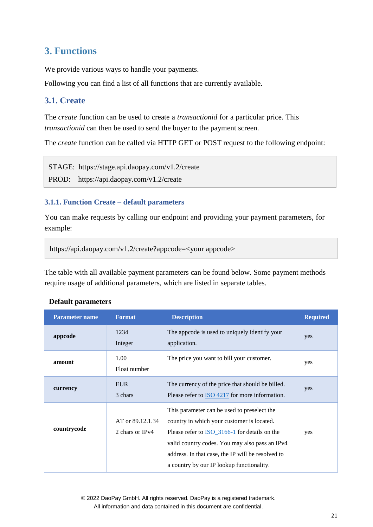## <span id="page-20-0"></span>**3. Functions**

We provide various ways to handle your payments.

Following you can find a list of all functions that are currently available.

## <span id="page-20-1"></span>**3.1. Create**

The *create* function can be used to create a *transactionid* for a particular price. This *transactionid* can then be used to send the buyer to the payment screen.

The *create* function can be called via HTTP GET or POST request to the following endpoint:

STAGE: https://stage.api.daopay.com/v1.2/create

PROD: https://api.daopay.com/v1.2/create

## <span id="page-20-2"></span>**3.1.1. Function Create – default parameters**

You can make requests by calling our endpoint and providing your payment parameters, for example:

```
https://api.daopay.com/v1.2/create?appcode=<your appcode>
```
The table with all available payment parameters can be found below. Some payment methods require usage of additional parameters, which are listed in separate tables.

| <b>Default parameters</b> |
|---------------------------|
|---------------------------|

| <b>Parameter name</b> | <b>Format</b>                       | <b>Description</b>                                                                                                                                                                                                                                                                                    | <b>Required</b> |
|-----------------------|-------------------------------------|-------------------------------------------------------------------------------------------------------------------------------------------------------------------------------------------------------------------------------------------------------------------------------------------------------|-----------------|
| appcode               | 1234<br>Integer                     | The appcode is used to uniquely identify your<br>application.                                                                                                                                                                                                                                         | yes             |
| amount                | 1.00<br>Float number                | The price you want to bill your customer.                                                                                                                                                                                                                                                             | yes             |
| currency              | <b>EUR</b><br>3 chars               | The currency of the price that should be billed.<br>Please refer to $\frac{ISO\ 4217}{}{I}$ for more information.                                                                                                                                                                                     | yes             |
| countrycode           | AT or 89.12.1.34<br>2 chars or IPv4 | This parameter can be used to preselect the<br>country in which your customer is located.<br>Please refer to <b>ISO</b> 3166-1 for details on the<br>valid country codes. You may also pass an IPv4<br>address. In that case, the IP will be resolved to<br>a country by our IP lookup functionality. | yes             |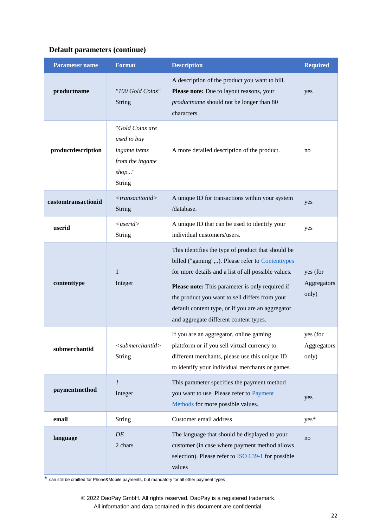| <b>Parameter name</b> | <b>Format</b>                                                                           | <b>Description</b>                                                                                                                                                                                                                                                                                                                                                | <b>Required</b>                  |
|-----------------------|-----------------------------------------------------------------------------------------|-------------------------------------------------------------------------------------------------------------------------------------------------------------------------------------------------------------------------------------------------------------------------------------------------------------------------------------------------------------------|----------------------------------|
| productname           | "100 Gold Coins"<br>String                                                              | A description of the product you want to bill.<br>Please note: Due to layout reasons, your<br>productname should not be longer than 80<br>characters.                                                                                                                                                                                                             | yes                              |
| productdescription    | "Gold Coins are<br>used to buy<br>ingame items<br>from the ingame<br>$shop$ "<br>String | A more detailed description of the product.                                                                                                                                                                                                                                                                                                                       | no                               |
| customtransactionid   | $<$ transactionid><br><b>String</b>                                                     | A unique ID for transactions within your system<br>/database.                                                                                                                                                                                                                                                                                                     | yes                              |
| userid                | $\langle$ userid $\rangle$<br><b>String</b>                                             | A unique ID that can be used to identify your<br>individual customers/users.                                                                                                                                                                                                                                                                                      | yes                              |
| contenttype           | $\mathbf{1}$<br>Integer                                                                 | This identifies the type of product that should be<br>billed ("gaming",). Please refer to Contenttypes<br>for more details and a list of all possible values.<br>Please note: This parameter is only required if<br>the product you want to sell differs from your<br>default content type, or if you are an aggregator<br>and aggregate different content types. | yes (for<br>Aggregators<br>only) |
| submerchantid         | $submerchantid$<br><b>String</b>                                                        | If you are an aggregator, online gaming<br>plattform or if you sell virtual currency to<br>different merchants, please use this unique ID<br>to identify your individual merchants or games.                                                                                                                                                                      | yes (for<br>Aggregators<br>only) |
| paymentmethod         | $\mathfrak l$<br>Integer                                                                | This parameter specifies the payment method<br>you want to use. Please refer to Payment<br>Methods for more possible values.                                                                                                                                                                                                                                      | yes                              |
| email                 | <b>String</b>                                                                           | Customer email address                                                                                                                                                                                                                                                                                                                                            | yes*                             |
| language              | DE<br>2 chars                                                                           | The language that should be displayed to your<br>customer (in case where payment method allows<br>selection). Please refer to <b>ISO</b> 639-1 for possible<br>values                                                                                                                                                                                             | no                               |

\* can still be omitted for Phone&Mobile payments, but mandatory for all other payment types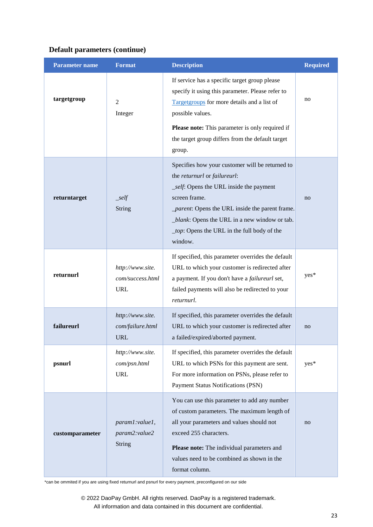| <b>Parameter name</b> | <b>Format</b>                                                                                                                                                                                     | <b>Description</b>                                                                                                                                                                                                                                                                                                | <b>Required</b> |
|-----------------------|---------------------------------------------------------------------------------------------------------------------------------------------------------------------------------------------------|-------------------------------------------------------------------------------------------------------------------------------------------------------------------------------------------------------------------------------------------------------------------------------------------------------------------|-----------------|
| targetgroup           | If service has a specific target group please<br>specify it using this parameter. Please refer to<br>$\overline{2}$<br>Targetgroups for more details and a list of<br>possible values.<br>Integer |                                                                                                                                                                                                                                                                                                                   | no              |
|                       |                                                                                                                                                                                                   | Please note: This parameter is only required if<br>the target group differs from the default target<br>group.                                                                                                                                                                                                     |                 |
| returntarget          | $\mathcal{L}$ self<br>String                                                                                                                                                                      | Specifies how your customer will be returned to<br>the returnurl or failureurl:<br>_self: Opens the URL inside the payment<br>screen frame.<br><i>_parent</i> : Opens the URL inside the parent frame.<br>_blank: Opens the URL in a new window or tab.<br>_top: Opens the URL in the full body of the<br>window. | no              |
| returnurl             | http://www.site.<br>com/success.html<br><b>URL</b>                                                                                                                                                | If specified, this parameter overrides the default<br>URL to which your customer is redirected after<br>a payment. If you don't have a failureurl set,<br>failed payments will also be redirected to your<br>returnurl.                                                                                           | yes*            |
| failureurl            | http://www.site.<br>com/failure.html<br>URL                                                                                                                                                       | If specified, this parameter overrides the default<br>URL to which your customer is redirected after<br>a failed/expired/aborted payment.                                                                                                                                                                         | no              |
| psnurl                | http://www.site.<br>com/psn.html<br><b>URL</b>                                                                                                                                                    | If specified, this parameter overrides the default<br>URL to which PSNs for this payment are sent.<br>For more information on PSNs, please refer to<br><b>Payment Status Notifications (PSN)</b>                                                                                                                  | yes*            |
| customparameter       | param1:value1,<br>param2:value2<br><b>String</b>                                                                                                                                                  | You can use this parameter to add any number<br>of custom parameters. The maximum length of<br>all your parameters and values should not<br>exceed 255 characters.<br>Please note: The individual parameters and<br>values need to be combined as shown in the<br>format column.                                  | no              |

\*can be ommited if you are using fixed returnurl and psnurl for every payment, preconfigured on our side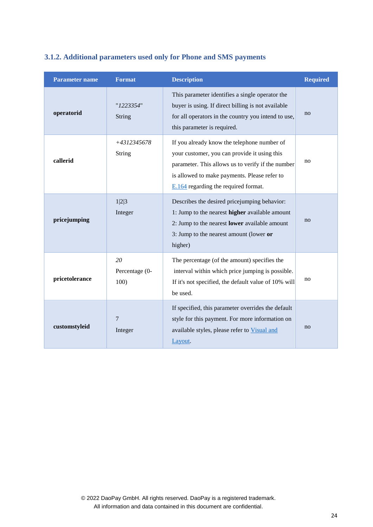<span id="page-23-0"></span>

| 3.1.2. Additional parameters used only for Phone and SMS payments |  |  |  |
|-------------------------------------------------------------------|--|--|--|
|-------------------------------------------------------------------|--|--|--|

| <b>Parameter name</b> | <b>Format</b>                | <b>Description</b>                                                                                                                                                                                                                         | <b>Required</b> |
|-----------------------|------------------------------|--------------------------------------------------------------------------------------------------------------------------------------------------------------------------------------------------------------------------------------------|-----------------|
| operatorid            | "1223354"<br>String          | This parameter identifies a single operator the<br>buyer is using. If direct billing is not available<br>for all operators in the country you intend to use,<br>this parameter is required.                                                | no              |
| callerid              | +4312345678<br><b>String</b> | If you already know the telephone number of<br>your customer, you can provide it using this<br>parameter. This allows us to verify if the number<br>is allowed to make payments. Please refer to<br>$E.164$ regarding the required format. | no              |
| pricejumping          | 1 2 3<br>Integer             | Describes the desired pricejumping behavior:<br>1: Jump to the nearest higher available amount<br>2: Jump to the nearest <b>lower</b> available amount<br>3: Jump to the nearest amount (lower or<br>higher)                               | no              |
| pricetolerance        | 20<br>Percentage (0-<br>100) | The percentage (of the amount) specifies the<br>interval within which price jumping is possible.<br>If it's not specified, the default value of 10% will<br>be used.                                                                       | no              |
| customstyleid         | $7\phantom{.0}$<br>Integer   | If specified, this parameter overrides the default<br>style for this payment. For more information on<br>available styles, please refer to Visual and<br>Layout.                                                                           | no              |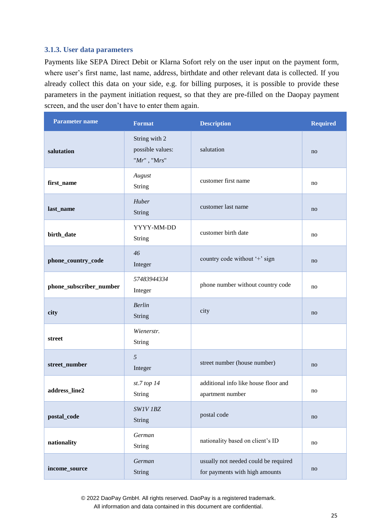#### <span id="page-24-0"></span>**3.1.3. User data parameters**

Payments like SEPA Direct Debit or Klarna Sofort rely on the user input on the payment form, where user's first name, last name, address, birthdate and other relevant data is collected. If you already collect this data on your side, e.g. for billing purposes, it is possible to provide these parameters in the payment initiation request, so that they are pre-filled on the Daopay payment screen, and the user don't have to enter them again.

| <b>Parameter name</b>   | <b>Format</b>                                       | <b>Description</b>                                                     | <b>Required</b>        |
|-------------------------|-----------------------------------------------------|------------------------------------------------------------------------|------------------------|
| salutation              | String with 2<br>possible values:<br>$"Mr"$ , "Mrs" | salutation                                                             | no                     |
| first_name              | August<br>String                                    | customer first name                                                    | no                     |
| last_name               | Huber<br>String                                     | customer last name                                                     | no                     |
| birth_date              | YYYY-MM-DD<br>String                                | customer birth date                                                    | no                     |
| phone_country_code      | 46<br>Integer                                       | country code without '+' sign                                          | no                     |
| phone_subscriber_number | 57483944334<br>Integer                              | phone number without country code                                      | no                     |
| city                    | <b>Berlin</b><br>String                             | city                                                                   | no                     |
| street                  | Wienerstr.<br>String                                |                                                                        |                        |
| street_number           | $\mathfrak{H}$<br>Integer                           | street number (house number)                                           | no                     |
| address_line2           | $st.7$ top $14$<br>String                           | additional info like house floor and<br>apartment number               | no                     |
| postal_code             | SW1V 1BZ<br><b>String</b>                           | postal code                                                            | no                     |
| nationality             | German<br>String                                    | nationality based on client's ID                                       | no                     |
| income_source           | German<br>String                                    | usually not needed could be required<br>for payments with high amounts | $\mathop{\mathrm{no}}$ |

© 2022 DaoPay GmbH. All rights reserved. DaoPay is a registered trademark.

All information and data contained in this document are confidential.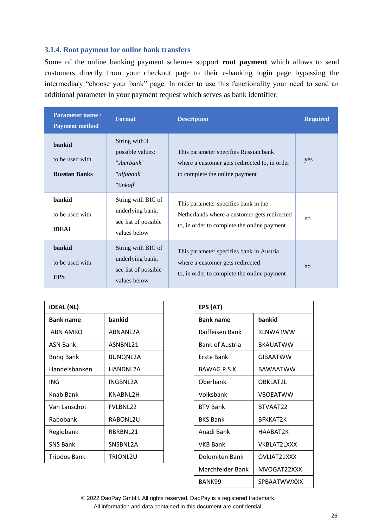#### <span id="page-25-0"></span>**3.1.4. Root payment for online bank transfers**

Some of the online banking payment schemes support **root payment** which allows to send customers directly from your checkout page to their e-banking login page bypassing the intermediary "choose your bank" page. In order to use this functionality your need to send an additional parameter in your payment request which serves as bank identifier.

| Parameter name /<br><b>Payment method</b>         | <b>Format</b>                                                                  | <b>Description</b>                                                                                                                  | <b>Required</b> |
|---------------------------------------------------|--------------------------------------------------------------------------------|-------------------------------------------------------------------------------------------------------------------------------------|-----------------|
| bankid<br>to be used with<br><b>Russian Banks</b> | String with 3<br>possible values:<br>"sberbank"<br>"alfabank"<br>"tinkoff"     | This parameter specifies Russian bank<br>where a customer gets redirected to, in order<br>to complete the online payment            | yes             |
| bankid<br>to be used with<br><b>iDEAL</b>         | String with BIC of<br>underlying bank,<br>see list of possible<br>values below | This parameter specifies bank in the<br>Netherlands where a customer gets redirected<br>to, in order to complete the online payment | no              |
| bankid<br>to be used with<br><b>EPS</b>           | String with BIC of<br>underlying bank,<br>see list of possible<br>values below | This parameter specifies bank in Austria<br>where a customer gets redirected<br>to, in order to complete the online payment         | no              |

|                 | EPS (AT)               |                 |
|-----------------|------------------------|-----------------|
| bankid          | <b>Bank name</b>       | bankid          |
| ABNANL2A        | Raiffeisen Bank        | RLNWATWW        |
| ASNBNL21        | <b>Bank of Austria</b> | <b>BKAUATWW</b> |
| BUNQNL2A        | Erste Bank             | <b>GIBAATWW</b> |
| HANDNL2A        | BAWAG P.S.K.           | <b>BAWAATWW</b> |
| INGBNL2A        | Oberbank               | OBKLAT2L        |
| KNABNL2H        | Volksbank              | <b>VBOEATWW</b> |
| <b>FVLBNL22</b> | <b>BTV Bank</b>        | BTVAAT22        |
| RABONL2U        | <b>BKS Bank</b>        | <b>BFKKAT2K</b> |
| RBRBNL21        | Anadi Bank             | HAABAT2K        |
| SNSBNL2A        | <b>VKB Bank</b>        | VKBLAT2LXXX     |
| TRIONL2U        | Dolomiten Bank         | OVLIAT21XXX     |
|                 |                        |                 |

| EPS (AT)         |                       |  |
|------------------|-----------------------|--|
| <b>Bank name</b> | bankid                |  |
| Raiffeisen Bank  | RLNWATWW              |  |
| Bank of Austria  | BKAUATWW              |  |
| Erste Bank       | <b>GIBAATWW</b>       |  |
| BAWAG P.S.K.     | BAWAATWW              |  |
| Oberbank         | OBKLAT <sub>2L</sub>  |  |
| Volksbank        | <b>VBOEATWW</b>       |  |
| <b>BTV Bank</b>  | BTVAAT22              |  |
| <b>BKS Bank</b>  | <b>BFKKAT2K</b>       |  |
| Anadi Bank       | HAARAT <sub>7</sub> K |  |
| VKB Bank         | VKBLAT2LXXX           |  |
| Dolomiten Bank   | OVLIAT21XXX           |  |
| Marchfelder Bank | MVOGAT22XXX           |  |
| BANK99           | <b>SPBAATWWXXX</b>    |  |

© 2022 DaoPay GmbH. All rights reserved. DaoPay is a registered trademark.

All information and data contained in this document are confidential.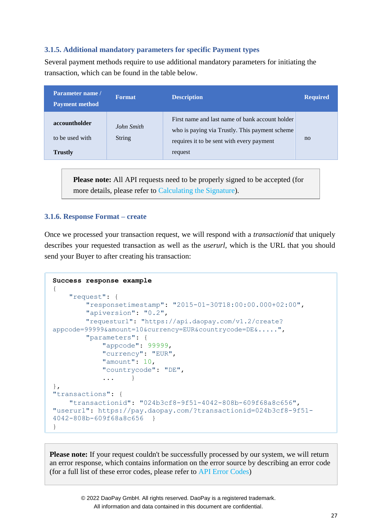## <span id="page-26-0"></span>**3.1.5. Additional mandatory parameters for specific Payment types**

Several payment methods require to use additional mandatory parameters for initiating the transaction, which can be found in the table below.

| Parameter name /<br><b>Payment method</b>          | <b>Format</b>               | <b>Description</b>                                                                                                                                        | <b>Required</b> |
|----------------------------------------------------|-----------------------------|-----------------------------------------------------------------------------------------------------------------------------------------------------------|-----------------|
| accountholder<br>to be used with<br><b>Trustly</b> | John Smith<br><b>String</b> | First name and last name of bank account holder<br>who is paying via Trustly. This payment scheme<br>requires it to be sent with every payment<br>request | no              |

**Please note:** All API requests need to be properly signed to be accepted (for more details, please refer to [Calculating the Signature\)](#page-15-0).

## <span id="page-26-1"></span>**3.1.6. Response Format – create**

Once we processed your transaction request, we will respond with a *transactionid* that uniquely describes your requested transaction as well as the *userurl*, which is the URL that you should send your Buyer to after creating his transaction:

```
Success response example
{
    "request": {
        "responsetimestamp": "2015-01-30T18:00:00.000+02:00",
        "apiversion": "0.2",
        "requesturl": "https://api.daopay.com/v1.2/create? 
appcode=99999&amount=10&currency=EUR&countrycode=DE&.....",
        "parameters": {
            "appcode": 99999,
            "currency": "EUR",
            "amount": 10,
            "countrycode": "DE",
            ... }
}, 
"transactions": {
    "transactionid": "024b3cf8-9f51-4042-808b-609f68a8c656",
"userurl": https://pay.daopay.com/?transactionid=024b3cf8-9f51-
4042-808b-609f68a8c656 }
}
```
**Please note:** If your request couldn't be successfully processed by our system, we will return an error response, which contains information on the error source by describing an error code (for a full list of these error codes, please refer to [API Error Codes\)](#page-50-1)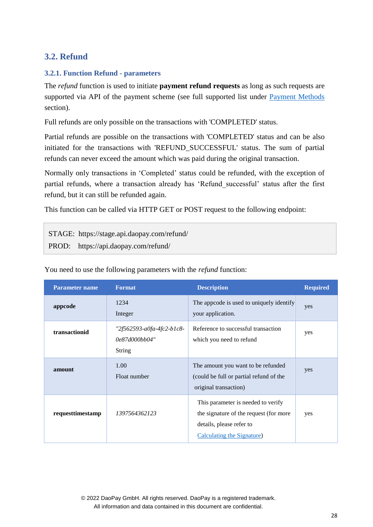## <span id="page-27-0"></span>**3.2. Refund**

## <span id="page-27-1"></span>**3.2.1. Function Refund - parameters**

The *refund* function is used to initiate **payment refund requests** as long as such requests are supported via API of the payment scheme (see full supported list under [Payment Methods](#page-6-0) section).

Full refunds are only possible on the transactions with 'COMPLETED' status.

Partial refunds are possible on the transactions with 'COMPLETED' status and can be also initiated for the transactions with 'REFUND SUCCESSFUL' status. The sum of partial refunds can never exceed the amount which was paid during the original transaction.

Normally only transactions in 'Completed' status could be refunded, with the exception of partial refunds, where a transaction already has 'Refund\_successful' status after the first refund, but it can still be refunded again.

This function can be called via HTTP GET or POST request to the following endpoint:

STAGE: https://stage.api.daopay.com/refund/ PROD: https://api.daopay.com/refund/

| <b>Parameter name</b> | <b>Format</b>                                        | <b>Description</b>                                                                                                                     | <b>Required</b> |
|-----------------------|------------------------------------------------------|----------------------------------------------------------------------------------------------------------------------------------------|-----------------|
| appcode               | 1234<br>Integer                                      | The approde is used to uniquely identify<br>your application.                                                                          | yes             |
| transactionid         | "2f562593-a0fa-4fc2-b1c8-<br>0e87d000bb04"<br>String | Reference to successful transaction<br>which you need to refund                                                                        | yes             |
| amount                | 1.00<br>Float number                                 | The amount you want to be refunded<br>(could be full or partial refund of the<br>original transaction)                                 | yes             |
| requesttimestamp      | 1397564362123                                        | This parameter is needed to verify<br>the signature of the request (for more<br>details, please refer to<br>Calculating the Signature) | yes             |

You need to use the following parameters with the *refund* function: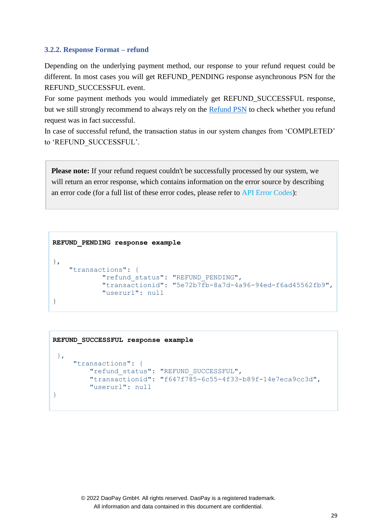#### <span id="page-28-0"></span>**3.2.2. Response Format – refund**

Depending on the underlying payment method, our response to your refund request could be different. In most cases you will get REFUND\_PENDING response asynchronous PSN for the REFUND\_SUCCESSFUL event.

For some payment methods you would immediately get REFUND\_SUCCESSFUL response, but we still strongly recommend to always rely on the [Refund PSN](#page-43-1) to check whether you refund request was in fact successful.

In case of successful refund, the transaction status in our system changes from 'COMPLETED' to 'REFUND\_SUCCESSFUL'.

**Please note:** If your refund request couldn't be successfully processed by our system, we will return an error response, which contains information on the error source by describing an error code (for a full list of these error codes, please refer to [API Error Codes\)](#page-50-1):

```
REFUND_PENDING response example
},
    "transactions": {
             "refund_status": "REFUND_PENDING",
             "transactionid": "5e72b7fb-8a7d-4a96-94ed-f6ad45562fb9",
             "userurl": null 
}
```

```
 REFUND_SUCCESSFUL response example 
  },
     "transactions": {
          "refund_status": "REFUND_SUCCESSFUL",
          "transactionid": "f647f785-6c55-4f33-b89f-14e7eca9cc3d",
          "userurl": null
 }
```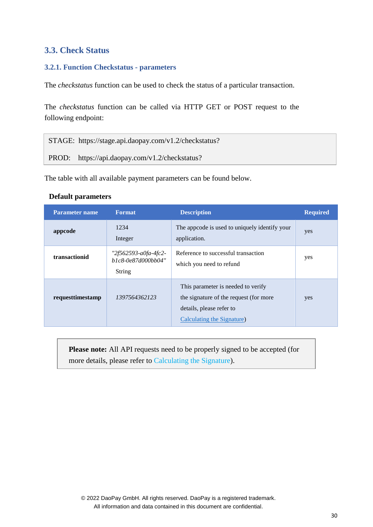## <span id="page-29-0"></span>**3.3. Check Status**

## <span id="page-29-1"></span>**3.2.1. Function Checkstatus - parameters**

The *checkstatus* function can be used to check the status of a particular transaction.

The *checkstatus* function can be called via HTTP GET or POST request to the following endpoint:

STAGE: [https://stage.api.daopay.com/v1.2/checkstatus?](https://stage.api.daopay.com/v1.2/checkstatus) PROD: https://api.daopay.com/v1.2/checkstatus?

The table with all available payment parameters can be found below.

## **Default parameters**

| <b>Parameter name</b> | <b>Format</b>                                        | <b>Description</b>                                                                                                                     | <b>Required</b> |
|-----------------------|------------------------------------------------------|----------------------------------------------------------------------------------------------------------------------------------------|-----------------|
| appcode               | 1234<br>Integer                                      | The approde is used to uniquely identify your<br>application.                                                                          | yes             |
| transactionid         | "2f562593-a0fa-4fc2-<br>b1c8-0e87d000bb04"<br>String | Reference to successful transaction<br>which you need to refund                                                                        | yes             |
| requesttimestamp      | 1397564362123                                        | This parameter is needed to verify<br>the signature of the request (for more<br>details, please refer to<br>Calculating the Signature) | yes             |

<span id="page-29-2"></span>**Please note:** All API requests need to be properly signed to be accepted (for more details, please refer to [Calculating the Signature\)](#page-15-0).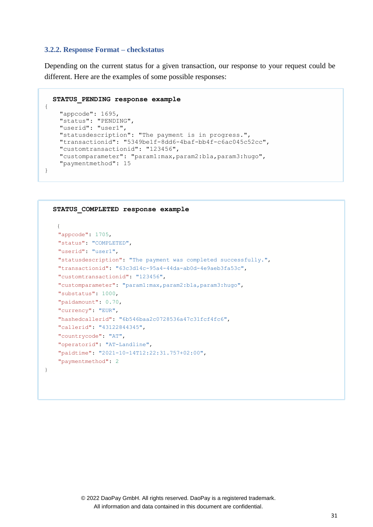#### **3.2.2. Response Format – checkstatus**

{

}

}

Depending on the current status for a given transaction, our response to your request could be different. Here are the examples of some possible responses:

```
STATUS_PENDING response example
  "appcode": 1695,
  "status": "PENDING",
  "userid": "user1",
  "statusdescription": "The payment is in progress.",
  "transactionid": "5349be1f-8dd6-4baf-bb4f-c6ac045c52cc",
  "customtransactionid": "123456",
  "customparameter": "param1:max,param2:bla,param3:hugo",
  "paymentmethod": 15
```

```
 STATUS_COMPLETED response example 
  {
  "appcode": 1705,
  "status": "COMPLETED",
  "userid": "user1",
  "statusdescription": "The payment was completed successfully.",
  "transactionid": "63c3d14c-95a4-44da-ab0d-4e9aeb3fa53c",
  "customtransactionid": "123456",
  "customparameter": "param1:max,param2:bla,param3:hugo",
  "substatus": 1000,
  "paidamount": 0.70,
  "currency": "EUR",
  "hashedcallerid": "6b546baa2c0728536a47c31fcf4fc6",
  "callerid": "43122844345",
  "countrycode": "AT",
  "operatorid": "AT-Landline",
  "paidtime": "2021-10-14T12:22:31.757+02:00",
  "paymentmethod": 2
```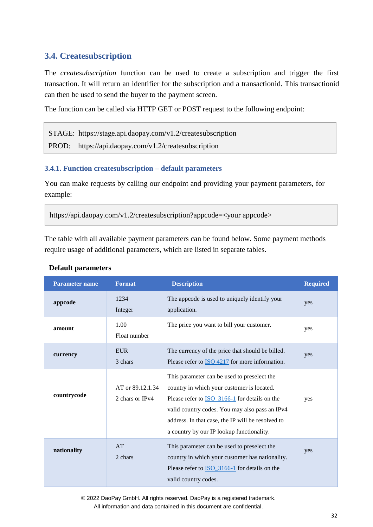## <span id="page-31-0"></span>**3.4. Createsubscription**

The *createsubscription* function can be used to create a subscription and trigger the first transaction. It will return an identifier for the subscription and a transactionid. This transactionid can then be used to send the buyer to the payment screen.

The function can be called via HTTP GET or POST request to the following endpoint:

STAGE: https://stage.api.daopay.com/v1.2/createsubscription PROD: https://api.daopay.com/v1.2/createsubscription

## <span id="page-31-1"></span>**3.4.1. Function createsubscription – default parameters**

You can make requests by calling our endpoint and providing your payment parameters, for example:

https://api.daopay.com/v1.2/createsubscription?appcode=<your appcode>

The table with all available payment parameters can be found below. Some payment methods require usage of additional parameters, which are listed in separate tables.

| <b>Parameter name</b> | <b>Format</b>                                                                                                                                                                                                                                                                                                                                 | <b>Description</b>                                                                                                                                                             | <b>Required</b> |
|-----------------------|-----------------------------------------------------------------------------------------------------------------------------------------------------------------------------------------------------------------------------------------------------------------------------------------------------------------------------------------------|--------------------------------------------------------------------------------------------------------------------------------------------------------------------------------|-----------------|
| appcode               | 1234<br>Integer                                                                                                                                                                                                                                                                                                                               | The appcode is used to uniquely identify your<br>application.                                                                                                                  | yes             |
| amount                | 1.00<br>The price you want to bill your customer.<br>Float number                                                                                                                                                                                                                                                                             |                                                                                                                                                                                | yes             |
| currency              | <b>EUR</b><br>3 chars                                                                                                                                                                                                                                                                                                                         | The currency of the price that should be billed.<br>Please refer to ISO 4217 for more information.                                                                             | yes             |
| countrycode           | This parameter can be used to preselect the<br>AT or 89.12.1.34<br>country in which your customer is located.<br>2 chars or IPv4<br>Please refer to <b>ISO</b> _3166-1 for details on the<br>valid country codes. You may also pass an IPv4<br>address. In that case, the IP will be resolved to<br>a country by our IP lookup functionality. |                                                                                                                                                                                | yes             |
| nationality           | AT<br>2 chars                                                                                                                                                                                                                                                                                                                                 | This parameter can be used to preselect the<br>country in which your customer has nationality.<br>Please refer to <b>ISO</b> 3166-1 for details on the<br>valid country codes. | yes             |

## **Default parameters**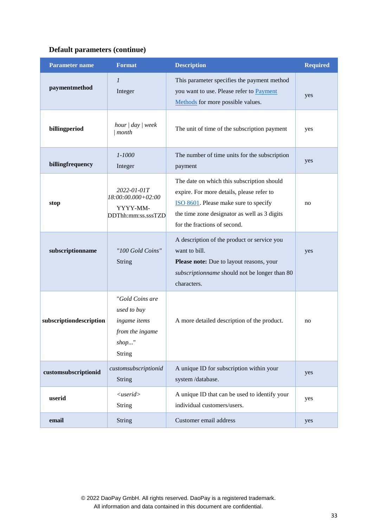| <b>Parameter name</b>   | <b>Format</b>                                                                        | <b>Description</b>                                                                                                                                                                                               | <b>Required</b> |
|-------------------------|--------------------------------------------------------------------------------------|------------------------------------------------------------------------------------------------------------------------------------------------------------------------------------------------------------------|-----------------|
| paymentmethod           | $\mathfrak l$<br>Integer                                                             | This parameter specifies the payment method<br>you want to use. Please refer to Payment<br>Methods for more possible values.                                                                                     | yes             |
| billingperiod           | hour $\vert$ day $\vert$ week<br>$\mid$ month                                        | The unit of time of the subscription payment                                                                                                                                                                     | yes             |
| billingfrequency        | $1 - 1000$<br>Integer                                                                | The number of time units for the subscription<br>payment                                                                                                                                                         | yes             |
| stop                    | 2022-01-01T<br>18:00:00.000+02:00<br>YYYY-MM-<br>DDThh:mm:ss.sssTZD                  | The date on which this subscription should<br>expire. For more details, please refer to<br>ISO 8601. Please make sure to specify<br>the time zone designator as well as 3 digits<br>for the fractions of second. | no              |
| subscriptionname        | "100 Gold Coins"<br><b>String</b>                                                    | A description of the product or service you<br>want to bill.<br>Please note: Due to layout reasons, your<br>subscriptionname should not be longer than 80<br>characters.                                         | yes             |
| subscriptiondescription | "Gold Coins are<br>used to buy<br>ingame items<br>from the ingame<br>shop"<br>String | A more detailed description of the product.                                                                                                                                                                      | no              |
| customsubscriptionid    | customsubscriptionid<br><b>String</b>                                                | A unique ID for subscription within your<br>system/database.                                                                                                                                                     | yes             |
| userid                  | $\langle$ userid $\rangle$<br><b>String</b>                                          | A unique ID that can be used to identify your<br>individual customers/users.                                                                                                                                     | yes             |
| email                   | String                                                                               | Customer email address                                                                                                                                                                                           | yes             |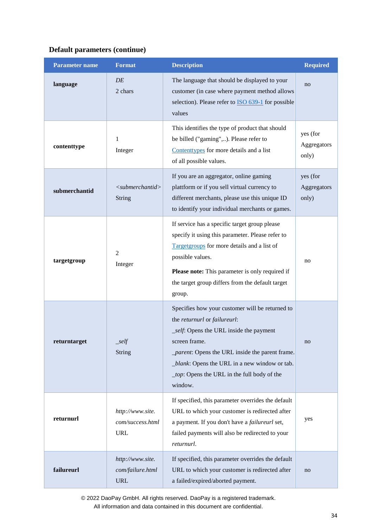| <b>Parameter name</b> | <b>Format</b>                                      | <b>Description</b>                                                                                                                                                                                                                                                                                                | <b>Required</b>                  |
|-----------------------|----------------------------------------------------|-------------------------------------------------------------------------------------------------------------------------------------------------------------------------------------------------------------------------------------------------------------------------------------------------------------------|----------------------------------|
| language              | DE<br>2 chars                                      | The language that should be displayed to your<br>customer (in case where payment method allows<br>selection). Please refer to <b>ISO</b> 639-1 for possible<br>values                                                                                                                                             | no                               |
| contenttype           | 1<br>Integer                                       | This identifies the type of product that should<br>be billed ("gaming",). Please refer to<br>Contenttypes for more details and a list<br>of all possible values.                                                                                                                                                  | yes (for<br>Aggregators<br>only) |
| submerchantid         | $\langle$ submerchantid $\rangle$<br><b>String</b> | If you are an aggregator, online gaming<br>plattform or if you sell virtual currency to<br>different merchants, please use this unique ID<br>to identify your individual merchants or games.                                                                                                                      | yes (for<br>Aggregators<br>only) |
| targetgroup           | $\overline{2}$<br>Integer                          | If service has a specific target group please<br>specify it using this parameter. Please refer to<br>Targetgroups for more details and a list of<br>possible values.<br>Please note: This parameter is only required if<br>the target group differs from the default target<br>group.                             | no                               |
| returntarget          | $\mathcal{L}$ self<br>String                       | Specifies how your customer will be returned to<br>the returnurl or failureurl:<br>_self: Opens the URL inside the payment<br>screen frame.<br><i>_parent</i> : Opens the URL inside the parent frame.<br>_blank: Opens the URL in a new window or tab.<br>_top: Opens the URL in the full body of the<br>window. | no                               |
| returnurl             | http://www.site.<br>com/success.html<br><b>URL</b> | If specified, this parameter overrides the default<br>URL to which your customer is redirected after<br>a payment. If you don't have a failureurl set,<br>failed payments will also be redirected to your<br>returnurl.                                                                                           | yes                              |
| failureurl            | http://www.site.<br>com/failure.html<br><b>URL</b> | If specified, this parameter overrides the default<br>URL to which your customer is redirected after<br>a failed/expired/aborted payment.                                                                                                                                                                         | no                               |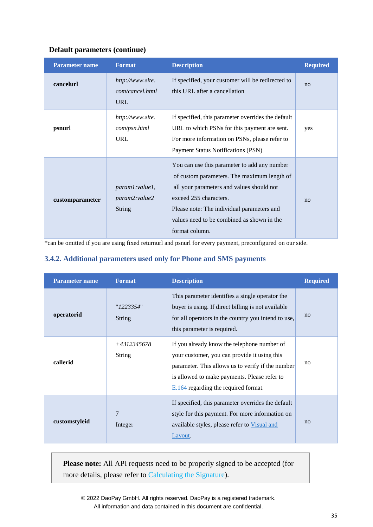| <b>Parameter name</b> | <b>Format</b>                                     | <b>Description</b>                                                                                                                                                                                                                                                               | <b>Required</b> |
|-----------------------|---------------------------------------------------|----------------------------------------------------------------------------------------------------------------------------------------------------------------------------------------------------------------------------------------------------------------------------------|-----------------|
| cancelurl             | http://www.site.<br>com/cancel.html<br><b>URL</b> | If specified, your customer will be redirected to<br>this URL after a cancellation                                                                                                                                                                                               | no              |
| psnurl                | http://www.site.<br>com/psn.html<br><b>URL</b>    | If specified, this parameter overrides the default<br>URL to which PSNs for this payment are sent.<br>For more information on PSNs, please refer to<br><b>Payment Status Notifications (PSN)</b>                                                                                 | yes             |
| customparameter       | param1:value1,<br>param2:value2<br><b>String</b>  | You can use this parameter to add any number<br>of custom parameters. The maximum length of<br>all your parameters and values should not<br>exceed 255 characters.<br>Please note: The individual parameters and<br>values need to be combined as shown in the<br>format column. | no              |

<span id="page-34-0"></span>\*can be omitted if you are using fixed returnurl and psnurl for every payment, preconfigured on our side.

#### **3.4.2. Additional parameters used only for Phone and SMS payments**

| <b>Parameter name</b> | <b>Format</b>             | <b>Description</b>                                                                                                                                                                                                                         | <b>Required</b> |
|-----------------------|---------------------------|--------------------------------------------------------------------------------------------------------------------------------------------------------------------------------------------------------------------------------------------|-----------------|
| operatorid            | "1223354"<br>String       | This parameter identifies a single operator the<br>buyer is using. If direct billing is not available<br>for all operators in the country you intend to use,<br>this parameter is required.                                                | no              |
| callerid              | +4312345678<br>String     | If you already know the telephone number of<br>your customer, you can provide it using this<br>parameter. This allows us to verify if the number<br>is allowed to make payments. Please refer to<br>$E.164$ regarding the required format. | no              |
| customstyleid         | $\overline{7}$<br>Integer | If specified, this parameter overrides the default<br>style for this payment. For more information on<br>available styles, please refer to Visual and<br>Layout.                                                                           | no              |

**Please note:** All API requests need to be properly signed to be accepted (for more details, please refer to [Calculating the Signature\)](#page-15-0).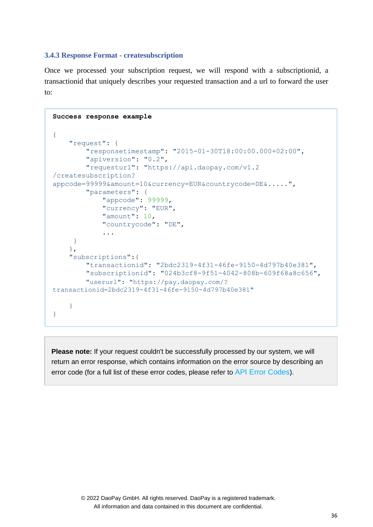#### <span id="page-35-0"></span>**3.4.3 Response Format - createsubscription**

Once we processed your subscription request, we will respond with a subscriptionid, a transactionid that uniquely describes your requested transaction and a url to forward the user to:

```
Success response example
{
    "request": {
        "responsetimestamp": "2015-01-30T18:00:00.000+02:00",
        "apiversion": "0.2",
        "requesturl": "https://api.daopay.com/v1.2
/createsubscription?
appcode=99999&amount=10&currency=EUR&countrycode=DE&.....",
        "parameters": {
            "appcode": 99999,
            "currency": "EUR",
            "amount": 10,
            "countrycode": "DE",
            ...
     }
    },
    "subscriptions":{
        "transactionid": "2bdc2319-4f31-46fe-9150-4d797b40e381",
        "subscriptionid": "024b3cf8-9f51-4042-808b-609f68a8c656",
        "userurl": "https://pay.daopay.com/? 
transactionid=2bdc2319-4f31-46fe-9150-4d797b40e381"
    }
}
```
**Please note:** If your request couldn't be successfully processed by our system, we will return an error response, which contains information on the error source by describing an error code (for a full list of these error codes, please refer to [API Error Codes](#page-50-1)).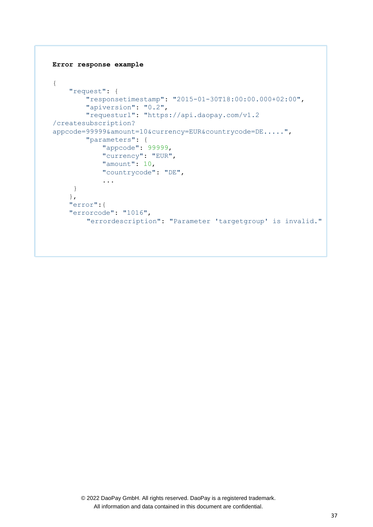```
Error response example
{
    "request": {
        "responsetimestamp": "2015-01-30T18:00:00.000+02:00",
        "apiversion": "0.2",
        "requesturl": "https://api.daopay.com/v1.2
/createsubscription?
appcode=99999&amount=10&currency=EUR&countrycode=DE.....",
        "parameters": {
            "appcode": 99999,
            "currency": "EUR",
            "amount": 10,
            "countrycode": "DE",
            ...
     }
    },
    "error":{
    "errorcode": "1016",
        "errordescription": "Parameter 'targetgroup' is invalid."
```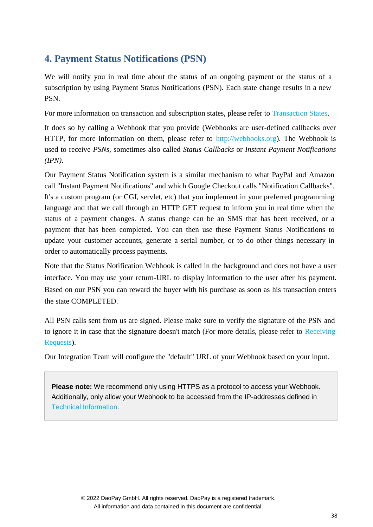## <span id="page-37-0"></span>**4. Payment Status Notifications (PSN)**

We will notify you in real time about the status of an ongoing payment or the status of a subscription by using Payment Status Notifications (PSN). Each state change results in a new PSN.

For more information on transaction and subscription states, please refer to [Transaction States.](#page-7-0)

It does so by calling a Webhook that you provide (Webhooks are user-defined callbacks over HTTP, for more information on them, please refer to [http://webhooks.org\)](http://webhooks.org/). The Webhook is used to receive *PSNs*, sometimes also called *Status Callbacks* or *Instant Payment Notifications (IPN)*.

Our Payment Status Notification system is a similar mechanism to what PayPal and Amazon call "Instant Payment Notifications" and which Google Checkout calls "Notification Callbacks". It's a custom program (or CGI, servlet, etc) that you implement in your preferred programming language and that we call through an HTTP GET request to inform you in real time when the status of a payment changes. A status change can be an SMS that has been received, or a payment that has been completed. You can then use these Payment Status Notifications to update your customer accounts, generate a serial number, or to do other things necessary in order to automatically process payments.

Note that the Status Notification Webhook is called in the background and does not have a user interface. You may use your return-URL to display information to the user after his payment. Based on our PSN you can reward the buyer with his purchase as soon as his transaction enters the state COMPLETED.

All PSN calls sent from us are signed. Please make sure to verify the signature of the PSN and to ignore it in case that the signature doesn't match (For more details, please refer to [Receiving](#page-14-0) [Requests\)](#page-14-2).

Our Integration Team will configure the "default" URL of your Webhook based on your input.

**Please note:** We recommend only using HTTPS as a protocol to access your Webhook. Additionally, only allow your Webhook to be accessed from the IP-addresses defined in Technical Information.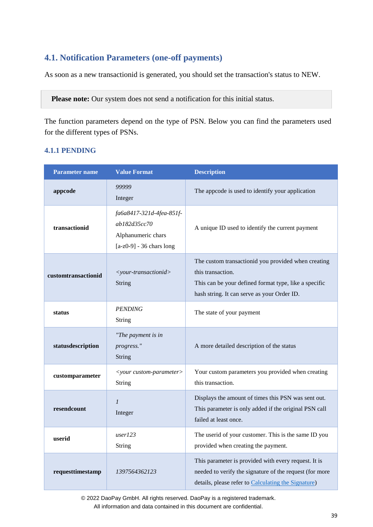## <span id="page-38-0"></span>**4.1. Notification Parameters (one-off payments)**

As soon as a new transactionid is generated, you should set the transaction's status to NEW.

Please note: Our system does not send a notification for this initial status.

The function parameters depend on the type of PSN. Below you can find the parameters used for the different types of PSNs.

## <span id="page-38-1"></span>**4.1.1 PENDING**

| <b>Parameter name</b> | <b>Value Format</b>                                                                          | <b>Description</b>                                                                                                                                                               |
|-----------------------|----------------------------------------------------------------------------------------------|----------------------------------------------------------------------------------------------------------------------------------------------------------------------------------|
| appcode               | 99999<br>Integer                                                                             | The appcode is used to identify your application                                                                                                                                 |
| transactionid         | fa6a8417-321d-4fea-851f-<br>ab182d35cc70<br>Alphanumeric chars<br>$[a-z0-9] - 36$ chars long | A unique ID used to identify the current payment                                                                                                                                 |
| customtransactionid   | $<$ your-transactionid><br><b>String</b>                                                     | The custom transactionid you provided when creating<br>this transaction.<br>This can be your defined format type, like a specific<br>hash string. It can serve as your Order ID. |
| status                | <b>PENDING</b><br><b>String</b>                                                              | The state of your payment                                                                                                                                                        |
| statusdescription     | "The payment is in<br>progress."<br>String                                                   | A more detailed description of the status                                                                                                                                        |
| customparameter       | <your custom-parameter=""><br/><b>String</b></your>                                          | Your custom parameters you provided when creating<br>this transaction.                                                                                                           |
| resendcount           | $\boldsymbol{l}$<br>Integer                                                                  | Displays the amount of times this PSN was sent out.<br>This parameter is only added if the original PSN call<br>failed at least once.                                            |
| userid                | user123<br>String                                                                            | The userid of your customer. This is the same ID you<br>provided when creating the payment.                                                                                      |
| requesttimestamp      | 1397564362123                                                                                | This parameter is provided with every request. It is<br>needed to verify the signature of the request (for more<br>details, please refer to Calculating the Signature)           |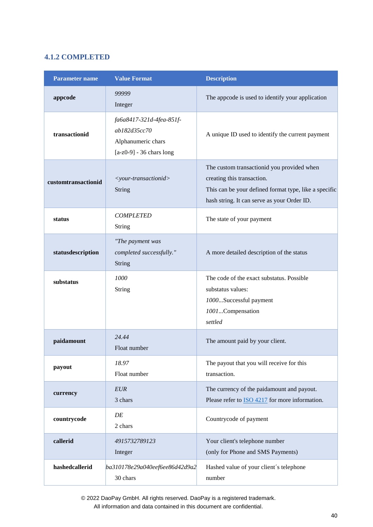## <span id="page-39-0"></span>**4.1.2 COMPLETED**

| <b>Parameter name</b> | <b>Value Format</b>                                                                          | <b>Description</b>                                                                                                                                                               |
|-----------------------|----------------------------------------------------------------------------------------------|----------------------------------------------------------------------------------------------------------------------------------------------------------------------------------|
| appcode               | 99999<br>Integer                                                                             | The appcode is used to identify your application                                                                                                                                 |
| transactionid         | fa6a8417-321d-4fea-851f-<br>ab182d35cc70<br>Alphanumeric chars<br>$[a-z0-9] - 36$ chars long | A unique ID used to identify the current payment                                                                                                                                 |
| customtransactionid   | <your-transactionid><br/><b>String</b></your-transactionid>                                  | The custom transactionid you provided when<br>creating this transaction.<br>This can be your defined format type, like a specific<br>hash string. It can serve as your Order ID. |
| status                | <b>COMPLETED</b><br>String                                                                   | The state of your payment                                                                                                                                                        |
| statusdescription     | "The payment was<br>completed successfully."<br>String                                       | A more detailed description of the status                                                                                                                                        |
| substatus             | 1000<br>String                                                                               | The code of the exact substatus. Possible<br>substatus values:<br>1000Successful payment<br>1001Compensation<br>settled                                                          |
| paidamount            | 24.44<br>Float number                                                                        | The amount paid by your client.                                                                                                                                                  |
| payout                | 18.97<br>Float number                                                                        | The payout that you will receive for this<br>transaction.                                                                                                                        |
| currency              | <b>EUR</b><br>3 chars                                                                        | The currency of the paidamount and payout.<br>Please refer to <b>ISO 4217</b> for more information.                                                                              |
| countrycode           | DE<br>2 chars                                                                                | Countrycode of payment                                                                                                                                                           |
| callerid              | 4915732789123<br>Integer                                                                     | Your client's telephone number<br>(only for Phone and SMS Payments)                                                                                                              |
| hashedcallerid        | ba310178e29a040eef6ee86d42d9a2<br>30 chars                                                   | Hashed value of your client's telephone<br>number                                                                                                                                |

© 2022 DaoPay GmbH. All rights reserved. DaoPay is a registered trademark.

All information and data contained in this document are confidential.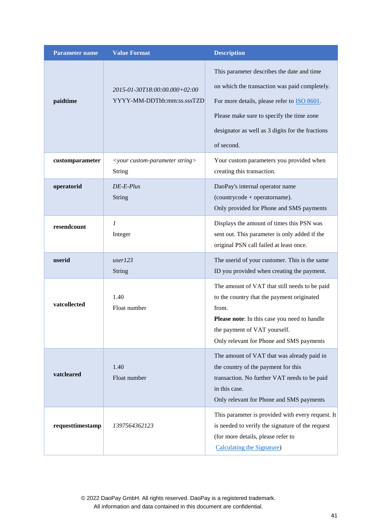| <b>Parameter name</b> | <b>Value Format</b>                                         | <b>Description</b>                                                                                                                                                                                                                                                |
|-----------------------|-------------------------------------------------------------|-------------------------------------------------------------------------------------------------------------------------------------------------------------------------------------------------------------------------------------------------------------------|
| paidtime              | 2015-01-30T18:00:00.000+02:00<br>YYYY-MM-DDThh:mm:ss.sssTZD | This parameter describes the date and time<br>on which the transaction was paid completely.<br>For more details, please refer to <b>ISO 8601</b> .<br>Please make sure to specify the time zone<br>designator as well as 3 digits for the fractions<br>of second. |
| customparameter       | $\le$ your custom-parameter string><br>String               | Your custom parameters you provided when<br>creating this transaction.                                                                                                                                                                                            |
| operatorid            | $DE-E-Plus$<br><b>String</b>                                | DaoPay's internal operator name<br>(countrycode + operatorname).<br>Only provided for Phone and SMS payments                                                                                                                                                      |
| resendcount           | 1<br>Integer                                                | Displays the amount of times this PSN was<br>sent out. This parameter is only added if the<br>original PSN call failed at least once.                                                                                                                             |
| userid                | user123<br><b>String</b>                                    | The userid of your customer. This is the same<br>ID you provided when creating the payment.                                                                                                                                                                       |
| vatcollected          | 1.40<br>Float number                                        | The amount of VAT that still needs to be paid<br>to the country that the payment originated<br>from.<br>Please note: In this case you need to handle<br>the payment of VAT yourself.<br>Only relevant for Phone and SMS payments                                  |
| vatcleared            | 1.40<br>Float number                                        | The amount of VAT that was already paid in<br>the country of the payment for this<br>transaction. No further VAT needs to be paid<br>in this case.<br>Only relevant for Phone and SMS payments                                                                    |
| requesttimestamp      | 1397564362123                                               | This parameter is provided with every request. It<br>is needed to verify the signature of the request<br>(for more details, please refer to<br>Calculating the Signature)                                                                                         |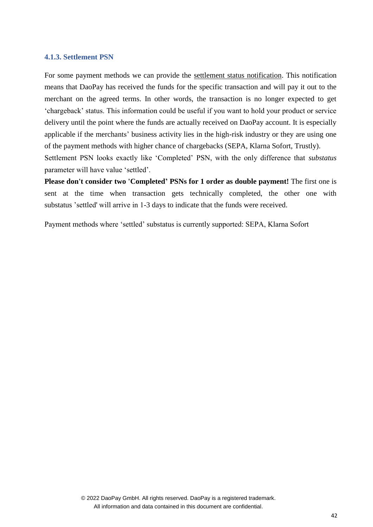#### <span id="page-41-0"></span>**4.1.3. Settlement PSN**

For some payment methods we can provide the settlement status notification. This notification means that DaoPay has received the funds for the specific transaction and will pay it out to the merchant on the agreed terms. In other words, the transaction is no longer expected to get 'chargeback' status. This information could be useful if you want to hold your product or service delivery until the point where the funds are actually received on DaoPay account. It is especially applicable if the merchants' business activity lies in the high-risk industry or they are using one of the payment methods with higher chance of chargebacks (SEPA, Klarna Sofort, Trustly). Settlement PSN looks exactly like 'Completed' PSN, with the only difference that *substatus* 

parameter will have value 'settled'.

**Please don't consider two 'Completed' PSNs for 1 order as double payment!** The first one is sent at the time when transaction gets technically completed, the other one with substatus 'settled' will arrive in 1-3 days to indicate that the funds were received.

Payment methods where 'settled' substatus is currently supported: SEPA, Klarna Sofort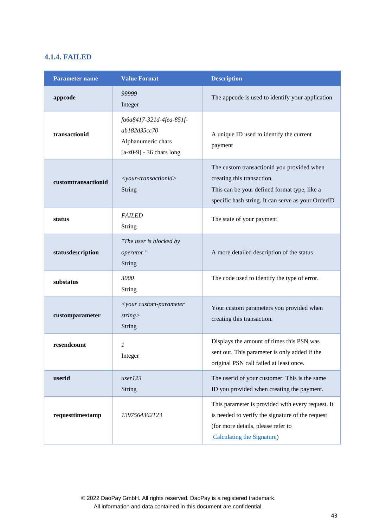## <span id="page-42-0"></span>**4.1.4. FAILED**

| <b>Parameter name</b> | <b>Value Format</b>                                                                          | <b>Description</b>                                                                                                                                                                |  |
|-----------------------|----------------------------------------------------------------------------------------------|-----------------------------------------------------------------------------------------------------------------------------------------------------------------------------------|--|
| appcode               | 99999<br>Integer                                                                             | The appcode is used to identify your application                                                                                                                                  |  |
| transactionid         | fa6a8417-321d-4fea-851f-<br>ab182d35cc70<br>Alphanumeric chars<br>$[a-z0-9] - 36$ chars long | A unique ID used to identify the current<br>payment                                                                                                                               |  |
| customtransactionid   | <your-transactionid><br/>String</your-transactionid>                                         | The custom transactionid you provided when<br>creating this transaction.<br>This can be your defined format type, like a<br>specific hash string. It can serve as your OrderID    |  |
| status                | <b>FAILED</b><br><b>String</b>                                                               | The state of your payment                                                                                                                                                         |  |
| statusdescription     | "The user is blocked by<br>operator."<br><b>String</b>                                       | A more detailed description of the status                                                                                                                                         |  |
| substatus             | 3000<br><b>String</b>                                                                        | The code used to identify the type of error.                                                                                                                                      |  |
| customparameter       | <your custom-parameter<br="">string<br/><b>String</b></your>                                 | Your custom parameters you provided when<br>creating this transaction.                                                                                                            |  |
| resendcount           | 1<br>Integer                                                                                 | Displays the amount of times this PSN was<br>sent out. This parameter is only added if the<br>original PSN call failed at least once.                                             |  |
| userid                | user123<br><b>String</b>                                                                     | The userid of your customer. This is the same<br>ID you provided when creating the payment.                                                                                       |  |
| requesttimestamp      | 1397564362123                                                                                | This parameter is provided with every request. It<br>is needed to verify the signature of the request<br>(for more details, please refer to<br><b>Calculating the Signature</b> ) |  |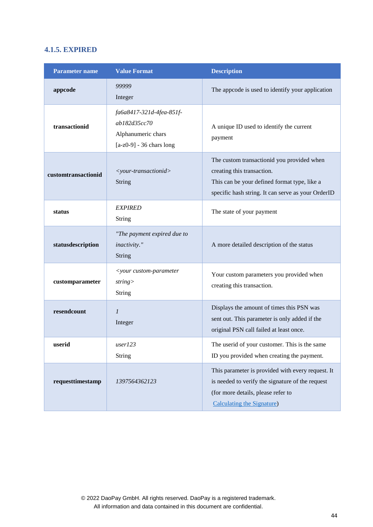## <span id="page-43-0"></span>**4.1.5. EXPIRED**

<span id="page-43-1"></span>

| <b>Parameter name</b> | <b>Value Format</b>                                                                                                                      | <b>Description</b>                                                                                                                                                             |  |
|-----------------------|------------------------------------------------------------------------------------------------------------------------------------------|--------------------------------------------------------------------------------------------------------------------------------------------------------------------------------|--|
| appcode               | 99999<br>Integer                                                                                                                         | The appcode is used to identify your application                                                                                                                               |  |
| transactionid         | fa6a8417-321d-4fea-851f-<br>ab182d35cc70<br>Alphanumeric chars<br>$[a-z0-9] - 36$ chars long                                             | A unique ID used to identify the current<br>payment                                                                                                                            |  |
| customtransactionid   | <your-transactionid><br/><b>String</b></your-transactionid>                                                                              | The custom transactionid you provided when<br>creating this transaction.<br>This can be your defined format type, like a<br>specific hash string. It can serve as your OrderID |  |
| status                | <b>EXPIRED</b><br><b>String</b>                                                                                                          | The state of your payment                                                                                                                                                      |  |
| statusdescription     | "The payment expired due to<br>inactivity."<br>A more detailed description of the status<br><b>String</b>                                |                                                                                                                                                                                |  |
| customparameter       | <your custom-parameter<br="">Your custom parameters you provided when<br/>string<br/>creating this transaction.<br/><b>String</b></your> |                                                                                                                                                                                |  |
| resendcount           | $\mathfrak l$<br>Integer                                                                                                                 | Displays the amount of times this PSN was<br>sent out. This parameter is only added if the<br>original PSN call failed at least once.                                          |  |
| userid                | user123<br><b>String</b>                                                                                                                 | The userid of your customer. This is the same<br>ID you provided when creating the payment.                                                                                    |  |
| requesttimestamp      | 1397564362123                                                                                                                            | This parameter is provided with every request. It<br>is needed to verify the signature of the request<br>(for more details, please refer to<br>Calculating the Signature)      |  |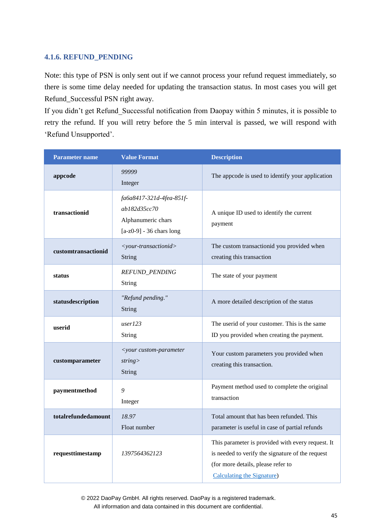## <span id="page-44-0"></span>**4.1.6. REFUND\_PENDING**

Note: this type of PSN is only sent out if we cannot process your refund request immediately, so there is some time delay needed for updating the transaction status. In most cases you will get Refund\_Successful PSN right away.

If you didn't get Refund Successful notification from Daopay within 5 minutes, it is possible to retry the refund. If you will retry before the 5 min interval is passed, we will respond with 'Refund Unsupported'.

| <b>Value Format</b><br><b>Parameter name</b>            |                                                                                                                                   | <b>Description</b>                                                                                                                                                        |  |
|---------------------------------------------------------|-----------------------------------------------------------------------------------------------------------------------------------|---------------------------------------------------------------------------------------------------------------------------------------------------------------------------|--|
| appcode                                                 | 99999<br>Integer                                                                                                                  | The appcode is used to identify your application                                                                                                                          |  |
| transactionid                                           | fa6a8417-321d-4fea-851f-<br>ab182d35cc70<br>Alphanumeric chars<br>$[a-z0-9] - 36$ chars long                                      | A unique ID used to identify the current<br>payment                                                                                                                       |  |
| customtransactionid                                     | <your-transactionid><br/>String</your-transactionid>                                                                              | The custom transactionid you provided when<br>creating this transaction                                                                                                   |  |
| status                                                  | REFUND_PENDING<br><b>String</b>                                                                                                   | The state of your payment                                                                                                                                                 |  |
| "Refund pending."<br>statusdescription<br><b>String</b> |                                                                                                                                   | A more detailed description of the status                                                                                                                                 |  |
| user123<br>userid<br>String                             |                                                                                                                                   | The userid of your customer. This is the same<br>ID you provided when creating the payment.                                                                               |  |
| customparameter                                         | <your custom-parameter<br="">Your custom parameters you provided when<br/>string<br/>creating this transaction.<br/>String</your> |                                                                                                                                                                           |  |
| paymentmethod                                           | 9<br>Integer                                                                                                                      | Payment method used to complete the original<br>transaction                                                                                                               |  |
| totalrefundedamount                                     | 18.97<br>Float number                                                                                                             | Total amount that has been refunded. This<br>parameter is useful in case of partial refunds                                                                               |  |
| requesttimestamp<br>1397564362123                       |                                                                                                                                   | This parameter is provided with every request. It<br>is needed to verify the signature of the request<br>(for more details, please refer to<br>Calculating the Signature) |  |

© 2022 DaoPay GmbH. All rights reserved. DaoPay is a registered trademark.

All information and data contained in this document are confidential.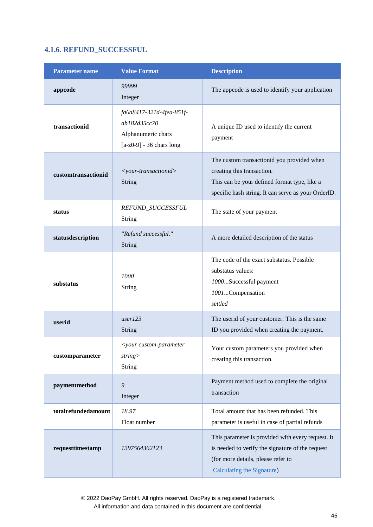## <span id="page-45-0"></span>**4.1.6. REFUND\_SUCCESSFUL**

| <b>Parameter name</b> | <b>Value Format</b>                                                                                                                                                                                                                              | <b>Description</b>                                                                                                                                                                |  |
|-----------------------|--------------------------------------------------------------------------------------------------------------------------------------------------------------------------------------------------------------------------------------------------|-----------------------------------------------------------------------------------------------------------------------------------------------------------------------------------|--|
| appcode               | 99999<br>Integer                                                                                                                                                                                                                                 | The appcode is used to identify your application                                                                                                                                  |  |
| transactionid         | fa6a8417-321d-4fea-851f-<br>ab182d35cc70<br>Alphanumeric chars<br>$[a-z0-9] - 36$ chars long                                                                                                                                                     | A unique ID used to identify the current<br>payment                                                                                                                               |  |
| customtransactionid   | The custom transactionid you provided when<br>creating this transaction.<br><your-transactionid><br/><b>String</b><br/>This can be your defined format type, like a<br/>specific hash string. It can serve as your OrderID.</your-transactionid> |                                                                                                                                                                                   |  |
| status                | REFUND_SUCCESSFUL<br><b>String</b>                                                                                                                                                                                                               | The state of your payment                                                                                                                                                         |  |
| statusdescription     | "Refund successful."<br>A more detailed description of the status<br><b>String</b>                                                                                                                                                               |                                                                                                                                                                                   |  |
| substatus             | 1000<br><b>String</b>                                                                                                                                                                                                                            | The code of the exact substatus. Possible<br>substatus values:<br>1000Successful payment<br>1001Compensation<br>settled                                                           |  |
| userid                | user123<br><b>String</b>                                                                                                                                                                                                                         | The userid of your customer. This is the same<br>ID you provided when creating the payment.                                                                                       |  |
| customparameter       | <your custom-parameter<br="">string<br/><b>String</b></your>                                                                                                                                                                                     | Your custom parameters you provided when<br>creating this transaction.                                                                                                            |  |
| paymentmethod         | 9<br>Integer                                                                                                                                                                                                                                     | Payment method used to complete the original<br>transaction                                                                                                                       |  |
| totalrefundedamount   | 18.97<br>Float number                                                                                                                                                                                                                            | Total amount that has been refunded. This<br>parameter is useful in case of partial refunds                                                                                       |  |
| requesttimestamp      | 1397564362123                                                                                                                                                                                                                                    | This parameter is provided with every request. It<br>is needed to verify the signature of the request<br>(for more details, please refer to<br><b>Calculating the Signature</b> ) |  |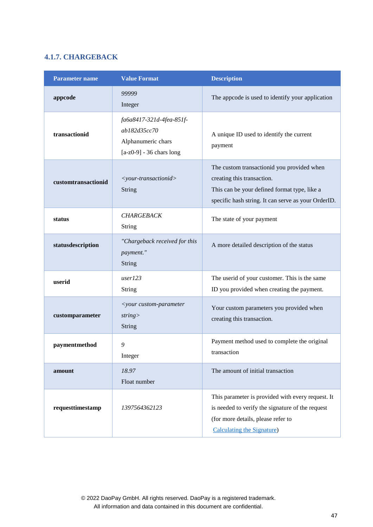## <span id="page-46-0"></span>**4.1.7. CHARGEBACK**

| <b>Parameter name</b>                                                                                           | <b>Value Format</b>                                                                          | <b>Description</b>                                                                                                                                                                |  |
|-----------------------------------------------------------------------------------------------------------------|----------------------------------------------------------------------------------------------|-----------------------------------------------------------------------------------------------------------------------------------------------------------------------------------|--|
| appcode                                                                                                         | 99999<br>Integer                                                                             | The appcode is used to identify your application                                                                                                                                  |  |
| transactionid                                                                                                   | fa6a8417-321d-4fea-851f-<br>ab182d35cc70<br>Alphanumeric chars<br>$[a-z0-9] - 36$ chars long | A unique ID used to identify the current<br>payment                                                                                                                               |  |
| customtransactionid                                                                                             | <your-transactionid><br/>String</your-transactionid>                                         | The custom transactionid you provided when<br>creating this transaction.<br>This can be your defined format type, like a<br>specific hash string. It can serve as your OrderID.   |  |
| status                                                                                                          | <b>CHARGEBACK</b><br>String                                                                  | The state of your payment                                                                                                                                                         |  |
| "Chargeback received for this<br>statusdescription<br>payment."<br>String                                       |                                                                                              | A more detailed description of the status                                                                                                                                         |  |
| user123<br>userid<br>String                                                                                     |                                                                                              | The userid of your customer. This is the same<br>ID you provided when creating the payment.                                                                                       |  |
| <your custom-parameter<br="">customparameter<br/>string<br/>creating this transaction.<br/><b>String</b></your> |                                                                                              | Your custom parameters you provided when                                                                                                                                          |  |
| paymentmethod                                                                                                   | 9<br>Integer                                                                                 | Payment method used to complete the original<br>transaction                                                                                                                       |  |
| 18.97<br>amount<br>Float number                                                                                 |                                                                                              | The amount of initial transaction                                                                                                                                                 |  |
| requesttimestamp                                                                                                | 1397564362123                                                                                | This parameter is provided with every request. It<br>is needed to verify the signature of the request<br>(for more details, please refer to<br><b>Calculating the Signature</b> ) |  |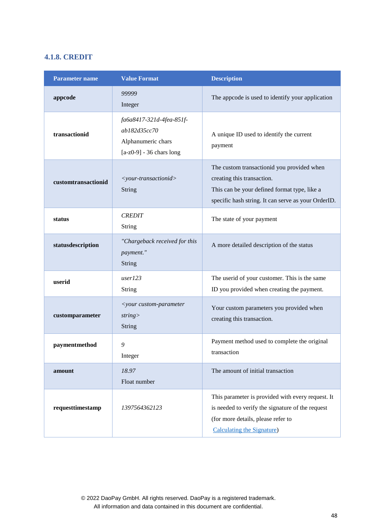## <span id="page-47-0"></span>**4.1.8. CREDIT**

| Parameter name                                                                   | <b>Value Format</b>                                                                          | <b>Description</b>                                                                                                                                                                |  |
|----------------------------------------------------------------------------------|----------------------------------------------------------------------------------------------|-----------------------------------------------------------------------------------------------------------------------------------------------------------------------------------|--|
| appcode                                                                          | 99999<br>Integer                                                                             | The appcode is used to identify your application                                                                                                                                  |  |
| transactionid                                                                    | fa6a8417-321d-4fea-851f-<br>ab182d35cc70<br>Alphanumeric chars<br>$[a-z0-9] - 36$ chars long | A unique ID used to identify the current<br>payment                                                                                                                               |  |
| customtransactionid                                                              | <your-transactionid><br/>String</your-transactionid>                                         | The custom transactionid you provided when<br>creating this transaction.<br>This can be your defined format type, like a<br>specific hash string. It can serve as your OrderID.   |  |
| status                                                                           | <b>CREDIT</b><br>String                                                                      | The state of your payment                                                                                                                                                         |  |
| "Chargeback received for this<br>statusdescription<br>payment."<br>String        |                                                                                              | A more detailed description of the status                                                                                                                                         |  |
| userid                                                                           | user123<br>String                                                                            | The userid of your customer. This is the same<br>ID you provided when creating the payment.                                                                                       |  |
| <your custom-parameter<br="">customparameter<br/>string<br/><b>String</b></your> |                                                                                              | Your custom parameters you provided when<br>creating this transaction.                                                                                                            |  |
| paymentmethod                                                                    | 9<br>Integer                                                                                 | Payment method used to complete the original<br>transaction                                                                                                                       |  |
| 18.97<br>amount<br>Float number                                                  |                                                                                              | The amount of initial transaction                                                                                                                                                 |  |
| requesttimestamp                                                                 | 1397564362123                                                                                | This parameter is provided with every request. It<br>is needed to verify the signature of the request<br>(for more details, please refer to<br><b>Calculating the Signature</b> ) |  |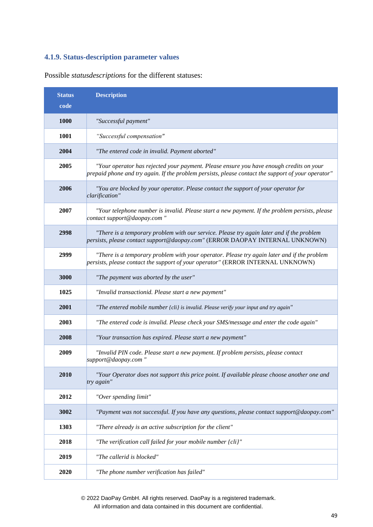## <span id="page-48-0"></span>**4.1.9. Status-description parameter values**

| <b>Status</b><br>code | <b>Description</b>                                                                                                                                                                            |
|-----------------------|-----------------------------------------------------------------------------------------------------------------------------------------------------------------------------------------------|
| 1000                  | "Successful payment"                                                                                                                                                                          |
| 1001                  | "Successful compensation"                                                                                                                                                                     |
| 2004                  | "The entered code in invalid. Payment aborted"                                                                                                                                                |
| 2005                  | "Your operator has rejected your payment. Please ensure you have enough credits on your<br>prepaid phone and try again. If the problem persists, please contact the support of your operator" |
| 2006                  | "You are blocked by your operator. Please contact the support of your operator for<br>clarification"                                                                                          |
| 2007                  | "Your telephone number is invalid. Please start a new payment. If the problem persists, please<br>contact support@daopay.com"                                                                 |
| 2998                  | "There is a temporary problem with our service. Please try again later and if the problem<br>persists, please contact support@daopay.com" (ERROR DAOPAY INTERNAL UNKNOWN)                     |
| 2999                  | "There is a temporary problem with your operator. Please try again later and if the problem<br>persists, please contact the support of your operator" (ERROR INTERNAL UNKNOWN)                |
| 3000                  | "The payment was aborted by the user"                                                                                                                                                         |
| 1025                  | "Invalid transactionid. Please start a new payment"                                                                                                                                           |
| 2001                  | "The entered mobile number {cli} is invalid. Please verify your input and try again"                                                                                                          |
| 2003                  | "The entered code is invalid. Please check your SMS/message and enter the code again"                                                                                                         |
| 2008                  | "Your transaction has expired. Please start a new payment"                                                                                                                                    |
| 2009                  | "Invalid PIN code. Please start a new payment. If problem persists, please contact<br>support@daopay.com"                                                                                     |
| 2010                  | "Your Operator does not support this price point. If available please choose another one and<br>try again"                                                                                    |
| 2012                  | "Over spending limit"                                                                                                                                                                         |
| 3002                  | "Payment was not successful. If you have any questions, please contact support@daopay.com"                                                                                                    |
| 1303                  | "There already is an active subscription for the client"                                                                                                                                      |
| 2018                  | "The verification call failed for your mobile number {cli}"                                                                                                                                   |
| 2019                  | "The callerid is blocked"                                                                                                                                                                     |
| 2020                  | "The phone number verification has failed"                                                                                                                                                    |

Possible *statusdescriptions* for the different statuses:

© 2022 DaoPay GmbH. All rights reserved. DaoPay is a registered trademark.

All information and data contained in this document are confidential.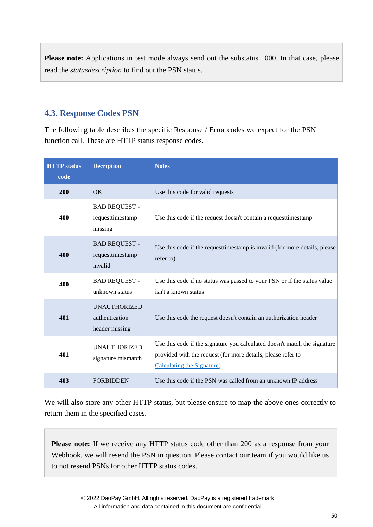Please note: Applications in test mode always send out the substatus 1000. In that case, please read the *statusdescription* to find out the PSN status.

## <span id="page-49-0"></span>**4.3. Response Codes PSN**

The following table describes the specific Response / Error codes we expect for the PSN function call. These are HTTP status response codes.

| <b>HTTP</b> status<br>code | <b>Decription</b>                                       | <b>Notes</b>                                                                                                                                                                    |
|----------------------------|---------------------------------------------------------|---------------------------------------------------------------------------------------------------------------------------------------------------------------------------------|
| 200                        | OK                                                      | Use this code for valid requests                                                                                                                                                |
| 400                        | <b>BAD REQUEST -</b><br>requesttimestamp<br>missing     | Use this code if the request doesn't contain a request timestamp                                                                                                                |
| 400                        | <b>BAD REQUEST -</b><br>requesttimestamp<br>invalid     | Use this code if the request timestamp is invalid (for more details, please<br>refer to)                                                                                        |
| 400                        | <b>BAD REQUEST -</b><br>unknown status                  | Use this code if no status was passed to your PSN or if the status value<br>isn't a known status                                                                                |
| 401                        | <b>UNAUTHORIZED</b><br>authentication<br>header missing | Use this code the request doesn't contain an authorization header                                                                                                               |
| 401                        | <b>UNAUTHORIZED</b><br>signature mismatch               | Use this code if the signature you calculated doesn't match the signature<br>provided with the request (for more details, please refer to<br><b>Calculating the Signature</b> ) |
| 403                        | <b>FORBIDDEN</b>                                        | Use this code if the PSN was called from an unknown IP address                                                                                                                  |

We will also store any other HTTP status, but please ensure to map the above ones correctly to return them in the specified cases.

**Please note:** If we receive any HTTP status code other than 200 as a response from your Webhook, we will resend the PSN in question. Please contact our team if you would like us to not resend PSNs for other HTTP status codes.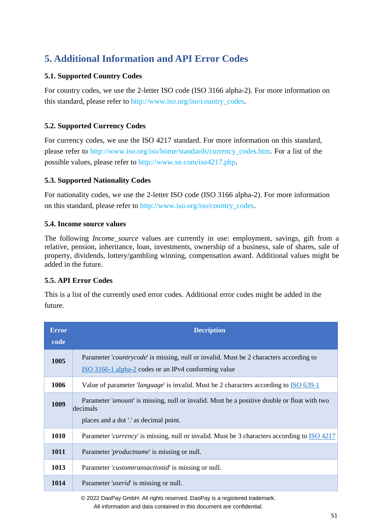## <span id="page-50-0"></span>**5. Additional Information and API Error Codes**

## **5.1. Supported Country Codes**

For country codes, we use the 2-letter ISO code (ISO 3166 alpha-2). For more information on this standard, please refer to [http://www.iso.org/iso/country\\_codes.](http://www.iso.org/iso/country_codes)

## **5.2. Supported Currency Codes**

For currency codes, we use the ISO 4217 standard. For more information on this standard, please refer to [http://www.iso.org/iso/home/standards/currency\\_codes.htm.](http://www.iso.org/iso/home/standards/currency_codes.htm) For a list of the possible values, please refer to [http://www.xe.com/iso4217.php.](http://www.xe.com/iso4217.php)

## **5.3. Supported Nationality Codes**

For nationality codes, we use the 2-letter ISO code (ISO 3166 alpha-2). For more information on this standard, please refer to [http://www.iso.org/iso/country\\_codes.](http://www.iso.org/iso/country_codes)

## **5.4. Income source values**

The following *Income\_source* values are currently in use: employment, savings, gift from a relative, pension, inheritance, loan, investments, ownership of a business, sale of shares, sale of property, dividends, lottery/gambling winning, compensation award. Additional values might be added in the future.

## <span id="page-50-1"></span>**5.5. API Error Codes**

This is a list of the currently used error codes. Additional error codes might be added in the future.

| <b>Error</b><br>code | <b>Decription</b>                                                                                                                                        |
|----------------------|----------------------------------------------------------------------------------------------------------------------------------------------------------|
| 1005                 | Parameter <i>countrycode</i> is missing, null or invalid. Must be 2 characters according to<br>ISO 3166-1 alpha-2 codes or an IPv4 conforming value      |
| 1006                 | Value of parameter <i>'language'</i> is invalid. Must be 2 characters according to ISO 639-1                                                             |
| 1009                 | Parameter <i>'amount'</i> is missing, null or invalid. Must be a positive double or float with two<br>decimals<br>places and a dot '.' as decimal point. |
| 1010                 | Parameter <i>currency</i> is missing, null or invalid. Must be 3 characters according to ISO 4217                                                        |
| 1011                 | Parameter ' <i>productname</i> ' is missing or null.                                                                                                     |
| 1013                 | Parameter <i>customtransactionid</i> is missing or null.                                                                                                 |
| 1014                 | Parameter ' <i>userid</i> ' is missing or null.                                                                                                          |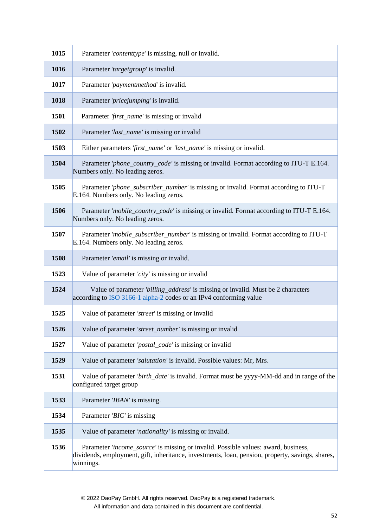| 1015 | Parameter 'contenttype' is missing, null or invalid.                                                                                                                                                |
|------|-----------------------------------------------------------------------------------------------------------------------------------------------------------------------------------------------------|
| 1016 | Parameter 'targetgroup' is invalid.                                                                                                                                                                 |
| 1017 | Parameter 'paymentmethod' is invalid.                                                                                                                                                               |
| 1018 | Parameter 'pricejumping' is invalid.                                                                                                                                                                |
| 1501 | Parameter 'first_name' is missing or invalid                                                                                                                                                        |
| 1502 | Parameter 'last_name' is missing or invalid                                                                                                                                                         |
| 1503 | Either parameters 'first_name' or 'last_name' is missing or invalid.                                                                                                                                |
| 1504 | Parameter 'phone_country_code' is missing or invalid. Format according to ITU-T E.164.<br>Numbers only. No leading zeros.                                                                           |
| 1505 | Parameter 'phone_subscriber_number' is missing or invalid. Format according to ITU-T<br>E.164. Numbers only. No leading zeros.                                                                      |
| 1506 | Parameter 'mobile_country_code' is missing or invalid. Format according to ITU-T E.164.<br>Numbers only. No leading zeros.                                                                          |
| 1507 | Parameter 'mobile_subscriber_number' is missing or invalid. Format according to ITU-T<br>E.164. Numbers only. No leading zeros.                                                                     |
| 1508 | Parameter 'email' is missing or invalid.                                                                                                                                                            |
| 1523 | Value of parameter 'city' is missing or invalid                                                                                                                                                     |
| 1524 | Value of parameter 'billing_address' is missing or invalid. Must be 2 characters<br>according to <b>ISO</b> 3166-1 alpha-2 codes or an IPv4 conforming value                                        |
| 1525 | Value of parameter 'street' is missing or invalid                                                                                                                                                   |
| 1526 | Value of parameter 'street_number' is missing or invalid                                                                                                                                            |
| 1527 | Value of parameter 'postal_code' is missing or invalid                                                                                                                                              |
| 1529 | Value of parameter 'salutation' is invalid. Possible values: Mr, Mrs.                                                                                                                               |
| 1531 | Value of parameter 'birth_date' is invalid. Format must be yyyy-MM-dd and in range of the<br>configured target group                                                                                |
| 1533 | Parameter 'IBAN' is missing.                                                                                                                                                                        |
| 1534 | Parameter 'BIC' is missing                                                                                                                                                                          |
| 1535 | Value of parameter 'nationality' is missing or invalid.                                                                                                                                             |
| 1536 | Parameter 'income_source' is missing or invalid. Possible values: award, business,<br>dividends, employment, gift, inheritance, investments, loan, pension, property, savings, shares,<br>winnings. |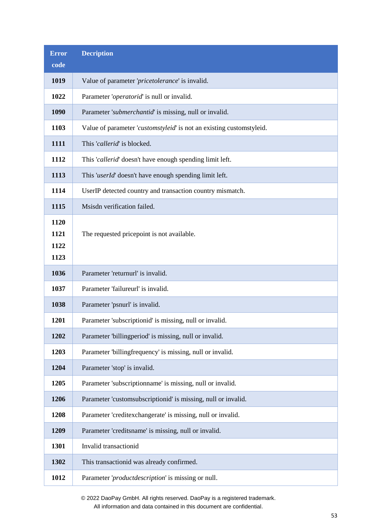| <b>Error</b>                 | <b>Decription</b>                                                    |
|------------------------------|----------------------------------------------------------------------|
| code                         |                                                                      |
| 1019                         | Value of parameter 'pricetolerance' is invalid.                      |
| 1022                         | Parameter 'operatorid' is null or invalid.                           |
| 1090                         | Parameter 'submerchantid' is missing, null or invalid.               |
| 1103                         | Value of parameter 'customstyleid' is not an existing customstyleid. |
| 1111                         | This 'callerid' is blocked.                                          |
| 1112                         | This 'callerid' doesn't have enough spending limit left.             |
| 1113                         | This 'userId' doesn't have enough spending limit left.               |
| 1114                         | UserIP detected country and transaction country mismatch.            |
| 1115                         | Msisdn verification failed.                                          |
| 1120<br>1121<br>1122<br>1123 | The requested pricepoint is not available.                           |
| 1036                         | Parameter 'returnurl' is invalid.                                    |
| 1037                         | Parameter 'failureurl' is invalid.                                   |
| 1038                         | Parameter 'psnurl' is invalid.                                       |
| 1201                         | Parameter 'subscriptionid' is missing, null or invalid.              |
| 1202                         | Parameter 'billingperiod' is missing, null or invalid.               |
| 1203                         | Parameter 'billingfrequency' is missing, null or invalid.            |
| 1204                         | Parameter 'stop' is invalid.                                         |
| 1205                         | Parameter 'subscriptionname' is missing, null or invalid.            |
| 1206                         | Parameter 'customsubscriptionid' is missing, null or invalid.        |
| 1208                         | Parameter 'creditexchangerate' is missing, null or invalid.          |
| 1209                         | Parameter 'creditsname' is missing, null or invalid.                 |
| 1301                         | Invalid transactionid                                                |
| 1302                         | This transactionid was already confirmed.                            |
| 1012                         | Parameter 'productdescription' is missing or null.                   |

© 2022 DaoPay GmbH. All rights reserved. DaoPay is a registered trademark.

All information and data contained in this document are confidential.